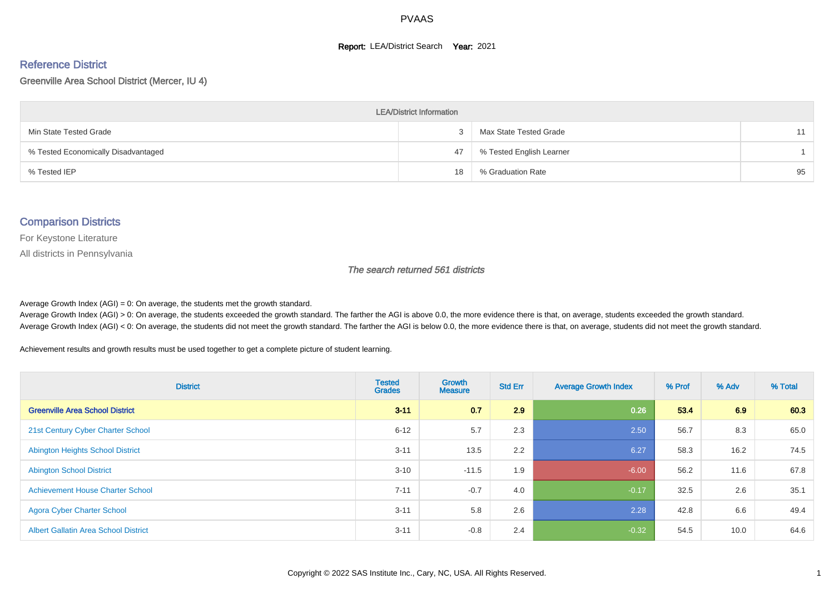#### **Report: LEA/District Search Year: 2021**

# Reference District

#### Greenville Area School District (Mercer, IU 4)

| <b>LEA/District Information</b>     |    |                          |    |  |  |  |  |  |  |  |
|-------------------------------------|----|--------------------------|----|--|--|--|--|--|--|--|
| Min State Tested Grade              |    | Max State Tested Grade   | 11 |  |  |  |  |  |  |  |
| % Tested Economically Disadvantaged | 47 | % Tested English Learner |    |  |  |  |  |  |  |  |
| % Tested IEP                        | 18 | % Graduation Rate        | 95 |  |  |  |  |  |  |  |

#### Comparison Districts

For Keystone Literature

All districts in Pennsylvania

The search returned 561 districts

Average Growth Index  $(AGI) = 0$ : On average, the students met the growth standard.

Average Growth Index (AGI) > 0: On average, the students exceeded the growth standard. The farther the AGI is above 0.0, the more evidence there is that, on average, students exceeded the growth standard. Average Growth Index (AGI) < 0: On average, the students did not meet the growth standard. The farther the AGI is below 0.0, the more evidence there is that, on average, students did not meet the growth standard.

Achievement results and growth results must be used together to get a complete picture of student learning.

| <b>District</b>                             | <b>Tested</b><br><b>Grades</b> | <b>Growth</b><br><b>Measure</b> | <b>Std Err</b> | <b>Average Growth Index</b> | % Prof | % Adv | % Total |
|---------------------------------------------|--------------------------------|---------------------------------|----------------|-----------------------------|--------|-------|---------|
| <b>Greenville Area School District</b>      | $3 - 11$                       | 0.7                             | 2.9            | 0.26                        | 53.4   | 6.9   | 60.3    |
| 21st Century Cyber Charter School           | $6 - 12$                       | 5.7                             | 2.3            | 2.50                        | 56.7   | 8.3   | 65.0    |
| <b>Abington Heights School District</b>     | $3 - 11$                       | 13.5                            | 2.2            | 6.27                        | 58.3   | 16.2  | 74.5    |
| <b>Abington School District</b>             | $3 - 10$                       | $-11.5$                         | 1.9            | $-6.00$                     | 56.2   | 11.6  | 67.8    |
| <b>Achievement House Charter School</b>     | $7 - 11$                       | $-0.7$                          | 4.0            | $-0.17$                     | 32.5   | 2.6   | 35.1    |
| <b>Agora Cyber Charter School</b>           | $3 - 11$                       | 5.8                             | 2.6            | 2.28                        | 42.8   | 6.6   | 49.4    |
| <b>Albert Gallatin Area School District</b> | $3 - 11$                       | $-0.8$                          | 2.4            | $-0.32$                     | 54.5   | 10.0  | 64.6    |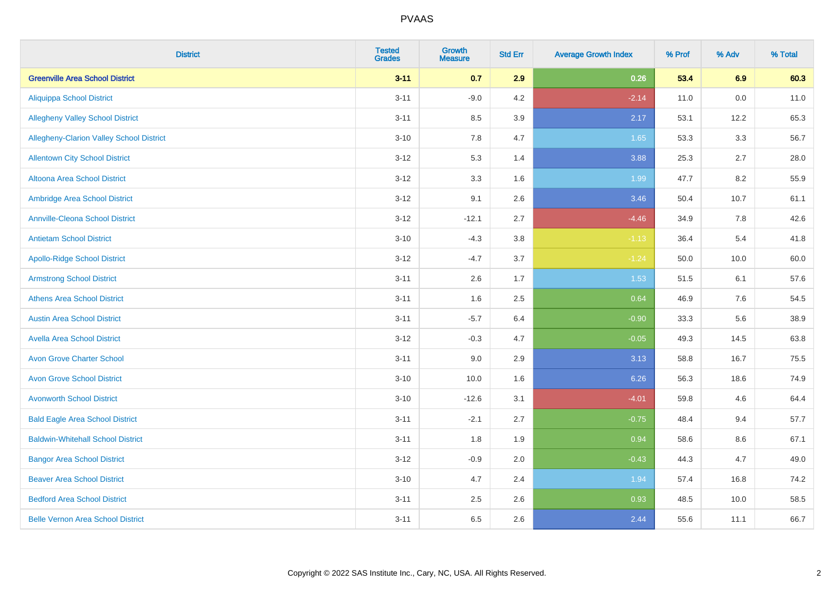| <b>District</b>                          | <b>Tested</b><br><b>Grades</b> | <b>Growth</b><br><b>Measure</b> | <b>Std Err</b> | <b>Average Growth Index</b> | % Prof | % Adv | % Total |
|------------------------------------------|--------------------------------|---------------------------------|----------------|-----------------------------|--------|-------|---------|
| <b>Greenville Area School District</b>   | $3 - 11$                       | 0.7                             | 2.9            | 0.26                        | 53.4   | 6.9   | 60.3    |
| <b>Aliquippa School District</b>         | $3 - 11$                       | $-9.0$                          | 4.2            | $-2.14$                     | 11.0   | 0.0   | 11.0    |
| <b>Allegheny Valley School District</b>  | $3 - 11$                       | 8.5                             | 3.9            | 2.17                        | 53.1   | 12.2  | 65.3    |
| Allegheny-Clarion Valley School District | $3 - 10$                       | 7.8                             | 4.7            | 1.65                        | 53.3   | 3.3   | 56.7    |
| <b>Allentown City School District</b>    | $3 - 12$                       | 5.3                             | 1.4            | 3.88                        | 25.3   | 2.7   | 28.0    |
| <b>Altoona Area School District</b>      | $3 - 12$                       | 3.3                             | 1.6            | 1.99                        | 47.7   | 8.2   | 55.9    |
| Ambridge Area School District            | $3 - 12$                       | 9.1                             | 2.6            | 3.46                        | 50.4   | 10.7  | 61.1    |
| <b>Annville-Cleona School District</b>   | $3 - 12$                       | $-12.1$                         | 2.7            | $-4.46$                     | 34.9   | 7.8   | 42.6    |
| <b>Antietam School District</b>          | $3 - 10$                       | $-4.3$                          | 3.8            | $-1.13$                     | 36.4   | 5.4   | 41.8    |
| <b>Apollo-Ridge School District</b>      | $3 - 12$                       | $-4.7$                          | 3.7            | $-1.24$                     | 50.0   | 10.0  | 60.0    |
| <b>Armstrong School District</b>         | $3 - 11$                       | 2.6                             | 1.7            | 1.53                        | 51.5   | 6.1   | 57.6    |
| <b>Athens Area School District</b>       | $3 - 11$                       | 1.6                             | 2.5            | 0.64                        | 46.9   | 7.6   | 54.5    |
| <b>Austin Area School District</b>       | $3 - 11$                       | $-5.7$                          | 6.4            | $-0.90$                     | 33.3   | 5.6   | 38.9    |
| <b>Avella Area School District</b>       | $3 - 12$                       | $-0.3$                          | 4.7            | $-0.05$                     | 49.3   | 14.5  | 63.8    |
| <b>Avon Grove Charter School</b>         | $3 - 11$                       | 9.0                             | 2.9            | 3.13                        | 58.8   | 16.7  | 75.5    |
| <b>Avon Grove School District</b>        | $3 - 10$                       | 10.0                            | 1.6            | 6.26                        | 56.3   | 18.6  | 74.9    |
| <b>Avonworth School District</b>         | $3 - 10$                       | $-12.6$                         | 3.1            | $-4.01$                     | 59.8   | 4.6   | 64.4    |
| <b>Bald Eagle Area School District</b>   | $3 - 11$                       | $-2.1$                          | 2.7            | $-0.75$                     | 48.4   | 9.4   | 57.7    |
| <b>Baldwin-Whitehall School District</b> | $3 - 11$                       | 1.8                             | 1.9            | 0.94                        | 58.6   | 8.6   | 67.1    |
| <b>Bangor Area School District</b>       | $3 - 12$                       | $-0.9$                          | 2.0            | $-0.43$                     | 44.3   | 4.7   | 49.0    |
| <b>Beaver Area School District</b>       | $3 - 10$                       | 4.7                             | 2.4            | 1.94                        | 57.4   | 16.8  | 74.2    |
| <b>Bedford Area School District</b>      | $3 - 11$                       | 2.5                             | 2.6            | 0.93                        | 48.5   | 10.0  | 58.5    |
| <b>Belle Vernon Area School District</b> | $3 - 11$                       | 6.5                             | 2.6            | 2.44                        | 55.6   | 11.1  | 66.7    |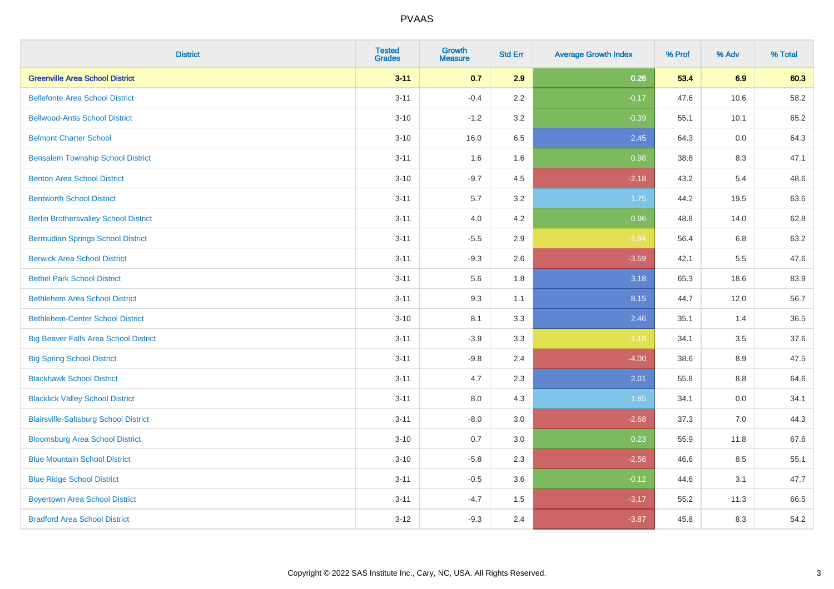| <b>District</b>                              | <b>Tested</b><br><b>Grades</b> | <b>Growth</b><br><b>Measure</b> | <b>Std Err</b> | <b>Average Growth Index</b> | % Prof | % Adv | % Total |
|----------------------------------------------|--------------------------------|---------------------------------|----------------|-----------------------------|--------|-------|---------|
| <b>Greenville Area School District</b>       | $3 - 11$                       | 0.7                             | 2.9            | 0.26                        | 53.4   | 6.9   | 60.3    |
| <b>Bellefonte Area School District</b>       | $3 - 11$                       | $-0.4$                          | 2.2            | $-0.17$                     | 47.6   | 10.6  | 58.2    |
| <b>Bellwood-Antis School District</b>        | $3 - 10$                       | $-1.2$                          | 3.2            | $-0.39$                     | 55.1   | 10.1  | 65.2    |
| <b>Belmont Charter School</b>                | $3 - 10$                       | 16.0                            | 6.5            | 2.45                        | 64.3   | 0.0   | 64.3    |
| <b>Bensalem Township School District</b>     | $3 - 11$                       | 1.6                             | 1.6            | 0.98                        | 38.8   | 8.3   | 47.1    |
| <b>Benton Area School District</b>           | $3 - 10$                       | $-9.7$                          | 4.5            | $-2.18$                     | 43.2   | 5.4   | 48.6    |
| <b>Bentworth School District</b>             | $3 - 11$                       | 5.7                             | 3.2            | 1.75                        | 44.2   | 19.5  | 63.6    |
| <b>Berlin Brothersvalley School District</b> | $3 - 11$                       | 4.0                             | 4.2            | 0.96                        | 48.8   | 14.0  | 62.8    |
| <b>Bermudian Springs School District</b>     | $3 - 11$                       | $-5.5$                          | 2.9            | $-1.94$                     | 56.4   | 6.8   | 63.2    |
| <b>Berwick Area School District</b>          | $3 - 11$                       | $-9.3$                          | 2.6            | $-3.59$                     | 42.1   | 5.5   | 47.6    |
| <b>Bethel Park School District</b>           | $3 - 11$                       | 5.6                             | 1.8            | 3.18                        | 65.3   | 18.6  | 83.9    |
| <b>Bethlehem Area School District</b>        | $3 - 11$                       | 9.3                             | 1.1            | 8.15                        | 44.7   | 12.0  | 56.7    |
| <b>Bethlehem-Center School District</b>      | $3 - 10$                       | 8.1                             | 3.3            | 2.46                        | 35.1   | 1.4   | 36.5    |
| <b>Big Beaver Falls Area School District</b> | $3 - 11$                       | $-3.9$                          | 3.3            | $-1.18$                     | 34.1   | 3.5   | 37.6    |
| <b>Big Spring School District</b>            | $3 - 11$                       | $-9.8$                          | 2.4            | $-4.00$                     | 38.6   | 8.9   | 47.5    |
| <b>Blackhawk School District</b>             | $3 - 11$                       | 4.7                             | 2.3            | 2.01                        | 55.8   | 8.8   | 64.6    |
| <b>Blacklick Valley School District</b>      | $3 - 11$                       | 8.0                             | 4.3            | 1.85                        | 34.1   | 0.0   | 34.1    |
| <b>Blairsville-Saltsburg School District</b> | $3 - 11$                       | $-8.0$                          | 3.0            | $-2.68$                     | 37.3   | 7.0   | 44.3    |
| <b>Bloomsburg Area School District</b>       | $3 - 10$                       | 0.7                             | 3.0            | 0.23                        | 55.9   | 11.8  | 67.6    |
| <b>Blue Mountain School District</b>         | $3 - 10$                       | $-5.8$                          | 2.3            | $-2.56$                     | 46.6   | 8.5   | 55.1    |
| <b>Blue Ridge School District</b>            | $3 - 11$                       | $-0.5$                          | 3.6            | $-0.12$                     | 44.6   | 3.1   | 47.7    |
| <b>Boyertown Area School District</b>        | $3 - 11$                       | $-4.7$                          | 1.5            | $-3.17$                     | 55.2   | 11.3  | 66.5    |
| <b>Bradford Area School District</b>         | $3 - 12$                       | $-9.3$                          | 2.4            | $-3.87$                     | 45.8   | 8.3   | 54.2    |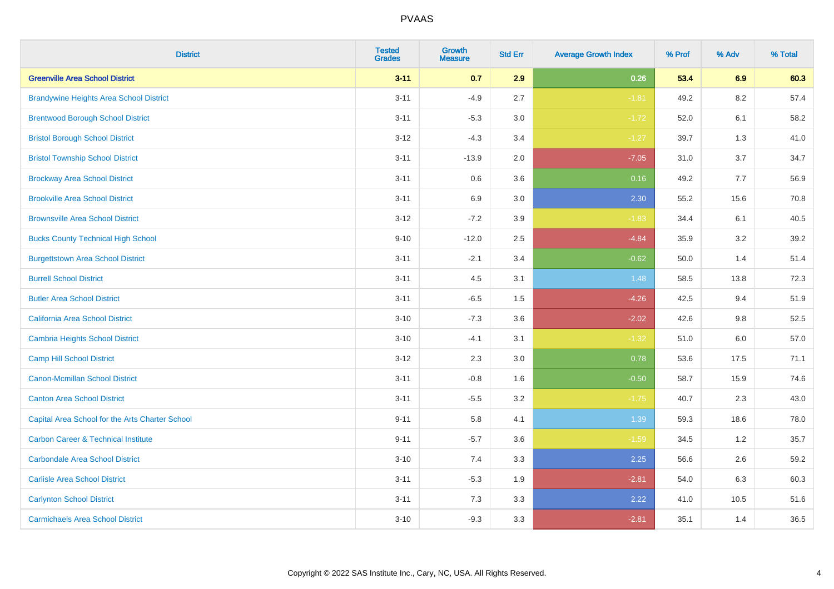| <b>District</b>                                 | <b>Tested</b><br><b>Grades</b> | Growth<br><b>Measure</b> | <b>Std Err</b> | <b>Average Growth Index</b> | % Prof | % Adv   | % Total |
|-------------------------------------------------|--------------------------------|--------------------------|----------------|-----------------------------|--------|---------|---------|
| <b>Greenville Area School District</b>          | $3 - 11$                       | 0.7                      | 2.9            | 0.26                        | 53.4   | 6.9     | 60.3    |
| <b>Brandywine Heights Area School District</b>  | $3 - 11$                       | $-4.9$                   | 2.7            | $-1.81$                     | 49.2   | 8.2     | 57.4    |
| <b>Brentwood Borough School District</b>        | $3 - 11$                       | $-5.3$                   | 3.0            | $-1.72$                     | 52.0   | 6.1     | 58.2    |
| <b>Bristol Borough School District</b>          | $3 - 12$                       | $-4.3$                   | 3.4            | $-1.27$                     | 39.7   | 1.3     | 41.0    |
| <b>Bristol Township School District</b>         | $3 - 11$                       | $-13.9$                  | 2.0            | $-7.05$                     | 31.0   | 3.7     | 34.7    |
| <b>Brockway Area School District</b>            | $3 - 11$                       | 0.6                      | 3.6            | 0.16                        | 49.2   | 7.7     | 56.9    |
| <b>Brookville Area School District</b>          | $3 - 11$                       | 6.9                      | 3.0            | 2.30                        | 55.2   | 15.6    | 70.8    |
| <b>Brownsville Area School District</b>         | $3 - 12$                       | $-7.2$                   | 3.9            | $-1.83$                     | 34.4   | 6.1     | 40.5    |
| <b>Bucks County Technical High School</b>       | $9 - 10$                       | $-12.0$                  | 2.5            | $-4.84$                     | 35.9   | 3.2     | 39.2    |
| <b>Burgettstown Area School District</b>        | $3 - 11$                       | $-2.1$                   | 3.4            | $-0.62$                     | 50.0   | 1.4     | 51.4    |
| <b>Burrell School District</b>                  | $3 - 11$                       | 4.5                      | 3.1            | 1.48                        | 58.5   | 13.8    | 72.3    |
| <b>Butler Area School District</b>              | $3 - 11$                       | $-6.5$                   | 1.5            | $-4.26$                     | 42.5   | 9.4     | 51.9    |
| California Area School District                 | $3 - 10$                       | $-7.3$                   | 3.6            | $-2.02$                     | 42.6   | 9.8     | 52.5    |
| Cambria Heights School District                 | $3 - 10$                       | $-4.1$                   | 3.1            | $-1.32$                     | 51.0   | $6.0\,$ | 57.0    |
| <b>Camp Hill School District</b>                | $3 - 12$                       | 2.3                      | 3.0            | 0.78                        | 53.6   | 17.5    | 71.1    |
| Canon-Mcmillan School District                  | $3 - 11$                       | $-0.8$                   | 1.6            | $-0.50$                     | 58.7   | 15.9    | 74.6    |
| <b>Canton Area School District</b>              | $3 - 11$                       | $-5.5$                   | 3.2            | $-1.75$                     | 40.7   | 2.3     | 43.0    |
| Capital Area School for the Arts Charter School | $9 - 11$                       | 5.8                      | 4.1            | 1.39                        | 59.3   | 18.6    | 78.0    |
| <b>Carbon Career &amp; Technical Institute</b>  | $9 - 11$                       | $-5.7$                   | 3.6            | $-1.59$                     | 34.5   | 1.2     | 35.7    |
| <b>Carbondale Area School District</b>          | $3 - 10$                       | 7.4                      | 3.3            | 2.25                        | 56.6   | 2.6     | 59.2    |
| <b>Carlisle Area School District</b>            | $3 - 11$                       | $-5.3$                   | 1.9            | $-2.81$                     | 54.0   | 6.3     | 60.3    |
| <b>Carlynton School District</b>                | $3 - 11$                       | 7.3                      | 3.3            | 2.22                        | 41.0   | 10.5    | 51.6    |
| <b>Carmichaels Area School District</b>         | $3 - 10$                       | $-9.3$                   | 3.3            | $-2.81$                     | 35.1   | 1.4     | 36.5    |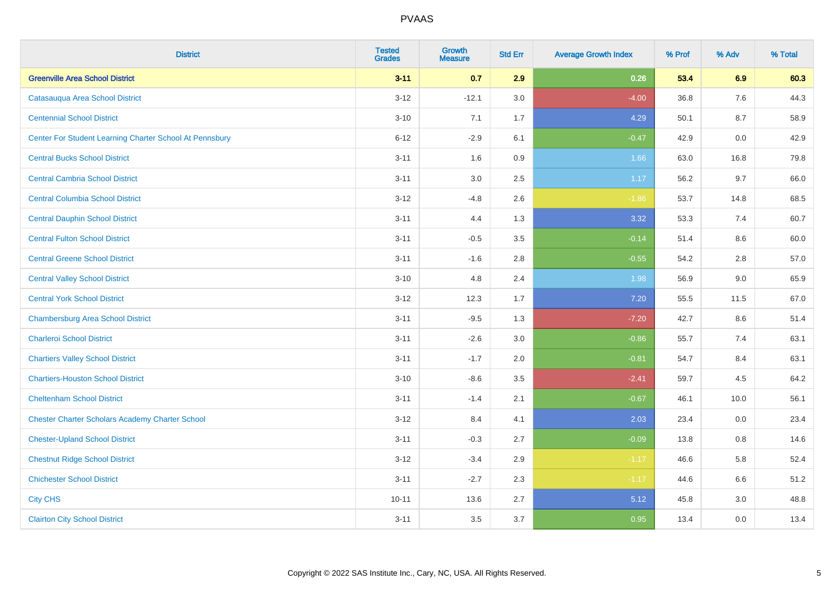| <b>District</b>                                         | <b>Tested</b><br><b>Grades</b> | <b>Growth</b><br><b>Measure</b> | <b>Std Err</b> | <b>Average Growth Index</b> | % Prof | % Adv | % Total |
|---------------------------------------------------------|--------------------------------|---------------------------------|----------------|-----------------------------|--------|-------|---------|
| <b>Greenville Area School District</b>                  | $3 - 11$                       | 0.7                             | 2.9            | 0.26                        | 53.4   | 6.9   | 60.3    |
| Catasauqua Area School District                         | $3 - 12$                       | $-12.1$                         | 3.0            | $-4.00$                     | 36.8   | 7.6   | 44.3    |
| <b>Centennial School District</b>                       | $3 - 10$                       | 7.1                             | 1.7            | 4.29                        | 50.1   | 8.7   | 58.9    |
| Center For Student Learning Charter School At Pennsbury | $6 - 12$                       | $-2.9$                          | 6.1            | $-0.47$                     | 42.9   | 0.0   | 42.9    |
| <b>Central Bucks School District</b>                    | $3 - 11$                       | 1.6                             | 0.9            | 1.66                        | 63.0   | 16.8  | 79.8    |
| <b>Central Cambria School District</b>                  | $3 - 11$                       | 3.0                             | 2.5            | 1.17                        | 56.2   | 9.7   | 66.0    |
| <b>Central Columbia School District</b>                 | $3 - 12$                       | $-4.8$                          | 2.6            | $-1.86$                     | 53.7   | 14.8  | 68.5    |
| <b>Central Dauphin School District</b>                  | $3 - 11$                       | 4.4                             | 1.3            | 3.32                        | 53.3   | 7.4   | 60.7    |
| <b>Central Fulton School District</b>                   | $3 - 11$                       | $-0.5$                          | 3.5            | $-0.14$                     | 51.4   | 8.6   | 60.0    |
| <b>Central Greene School District</b>                   | $3 - 11$                       | $-1.6$                          | 2.8            | $-0.55$                     | 54.2   | 2.8   | 57.0    |
| <b>Central Valley School District</b>                   | $3 - 10$                       | 4.8                             | 2.4            | 1.98                        | 56.9   | 9.0   | 65.9    |
| <b>Central York School District</b>                     | $3 - 12$                       | 12.3                            | 1.7            | 7.20                        | 55.5   | 11.5  | 67.0    |
| <b>Chambersburg Area School District</b>                | $3 - 11$                       | $-9.5$                          | 1.3            | $-7.20$                     | 42.7   | 8.6   | 51.4    |
| <b>Charleroi School District</b>                        | $3 - 11$                       | $-2.6$                          | 3.0            | $-0.86$                     | 55.7   | 7.4   | 63.1    |
| <b>Chartiers Valley School District</b>                 | $3 - 11$                       | $-1.7$                          | 2.0            | $-0.81$                     | 54.7   | 8.4   | 63.1    |
| <b>Chartiers-Houston School District</b>                | $3 - 10$                       | $-8.6$                          | 3.5            | $-2.41$                     | 59.7   | 4.5   | 64.2    |
| <b>Cheltenham School District</b>                       | $3 - 11$                       | $-1.4$                          | 2.1            | $-0.67$                     | 46.1   | 10.0  | 56.1    |
| <b>Chester Charter Scholars Academy Charter School</b>  | $3 - 12$                       | 8.4                             | 4.1            | 2.03                        | 23.4   | 0.0   | 23.4    |
| <b>Chester-Upland School District</b>                   | $3 - 11$                       | $-0.3$                          | 2.7            | $-0.09$                     | 13.8   | 0.8   | 14.6    |
| <b>Chestnut Ridge School District</b>                   | $3 - 12$                       | $-3.4$                          | 2.9            | $-1.17$                     | 46.6   | 5.8   | 52.4    |
| <b>Chichester School District</b>                       | $3 - 11$                       | $-2.7$                          | 2.3            | $-1.17$                     | 44.6   | 6.6   | 51.2    |
| <b>City CHS</b>                                         | $10 - 11$                      | 13.6                            | 2.7            | 5.12                        | 45.8   | 3.0   | 48.8    |
| <b>Clairton City School District</b>                    | $3 - 11$                       | 3.5                             | 3.7            | 0.95                        | 13.4   | 0.0   | 13.4    |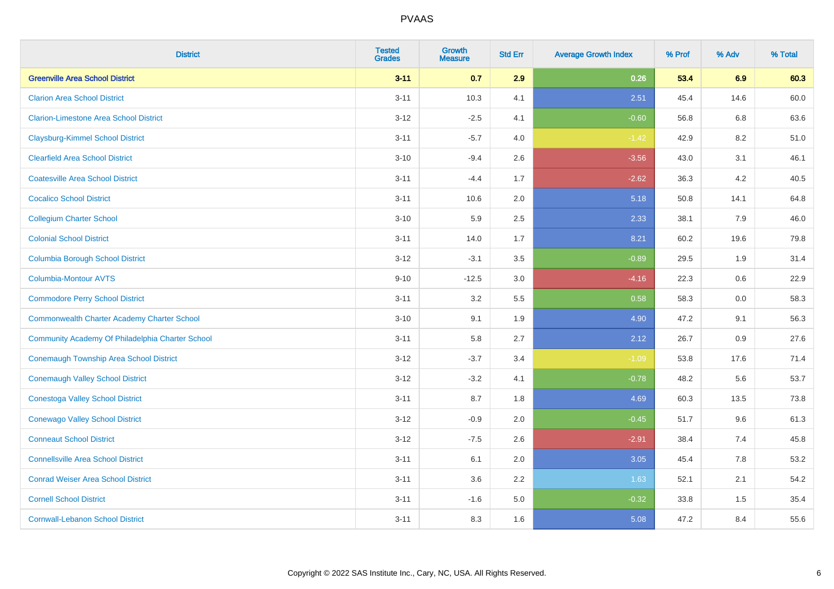| <b>District</b>                                  | <b>Tested</b><br><b>Grades</b> | Growth<br><b>Measure</b> | <b>Std Err</b> | <b>Average Growth Index</b> | % Prof | % Adv   | % Total |
|--------------------------------------------------|--------------------------------|--------------------------|----------------|-----------------------------|--------|---------|---------|
| <b>Greenville Area School District</b>           | $3 - 11$                       | 0.7                      | 2.9            | 0.26                        | 53.4   | 6.9     | 60.3    |
| <b>Clarion Area School District</b>              | $3 - 11$                       | 10.3                     | 4.1            | 2.51                        | 45.4   | 14.6    | 60.0    |
| <b>Clarion-Limestone Area School District</b>    | $3-12$                         | $-2.5$                   | 4.1            | $-0.60$                     | 56.8   | 6.8     | 63.6    |
| <b>Claysburg-Kimmel School District</b>          | $3 - 11$                       | $-5.7$                   | 4.0            | $-1.42$                     | 42.9   | $8.2\,$ | 51.0    |
| <b>Clearfield Area School District</b>           | $3 - 10$                       | $-9.4$                   | 2.6            | $-3.56$                     | 43.0   | 3.1     | 46.1    |
| <b>Coatesville Area School District</b>          | $3 - 11$                       | $-4.4$                   | 1.7            | $-2.62$                     | 36.3   | 4.2     | 40.5    |
| <b>Cocalico School District</b>                  | $3 - 11$                       | 10.6                     | 2.0            | 5.18                        | 50.8   | 14.1    | 64.8    |
| <b>Collegium Charter School</b>                  | $3 - 10$                       | 5.9                      | 2.5            | 2.33                        | 38.1   | 7.9     | 46.0    |
| <b>Colonial School District</b>                  | $3 - 11$                       | 14.0                     | 1.7            | 8.21                        | 60.2   | 19.6    | 79.8    |
| <b>Columbia Borough School District</b>          | $3 - 12$                       | $-3.1$                   | 3.5            | $-0.89$                     | 29.5   | 1.9     | 31.4    |
| <b>Columbia-Montour AVTS</b>                     | $9 - 10$                       | $-12.5$                  | 3.0            | $-4.16$                     | 22.3   | 0.6     | 22.9    |
| <b>Commodore Perry School District</b>           | $3 - 11$                       | 3.2                      | 5.5            | 0.58                        | 58.3   | 0.0     | 58.3    |
| Commonwealth Charter Academy Charter School      | $3 - 10$                       | 9.1                      | 1.9            | 4.90                        | 47.2   | 9.1     | 56.3    |
| Community Academy Of Philadelphia Charter School | $3 - 11$                       | 5.8                      | 2.7            | 2.12                        | 26.7   | 0.9     | 27.6    |
| <b>Conemaugh Township Area School District</b>   | $3-12$                         | $-3.7$                   | 3.4            | $-1.09$                     | 53.8   | 17.6    | 71.4    |
| <b>Conemaugh Valley School District</b>          | $3 - 12$                       | $-3.2$                   | 4.1            | $-0.78$                     | 48.2   | 5.6     | 53.7    |
| <b>Conestoga Valley School District</b>          | $3 - 11$                       | 8.7                      | 1.8            | 4.69                        | 60.3   | 13.5    | 73.8    |
| <b>Conewago Valley School District</b>           | $3-12$                         | $-0.9$                   | 2.0            | $-0.45$                     | 51.7   | 9.6     | 61.3    |
| <b>Conneaut School District</b>                  | $3 - 12$                       | $-7.5$                   | 2.6            | $-2.91$                     | 38.4   | 7.4     | 45.8    |
| <b>Connellsville Area School District</b>        | $3 - 11$                       | 6.1                      | 2.0            | 3.05                        | 45.4   | 7.8     | 53.2    |
| <b>Conrad Weiser Area School District</b>        | $3 - 11$                       | 3.6                      | 2.2            | 1.63                        | 52.1   | 2.1     | 54.2    |
| <b>Cornell School District</b>                   | $3 - 11$                       | $-1.6$                   | 5.0            | $-0.32$                     | 33.8   | 1.5     | 35.4    |
| <b>Cornwall-Lebanon School District</b>          | $3 - 11$                       | 8.3                      | 1.6            | 5.08                        | 47.2   | 8.4     | 55.6    |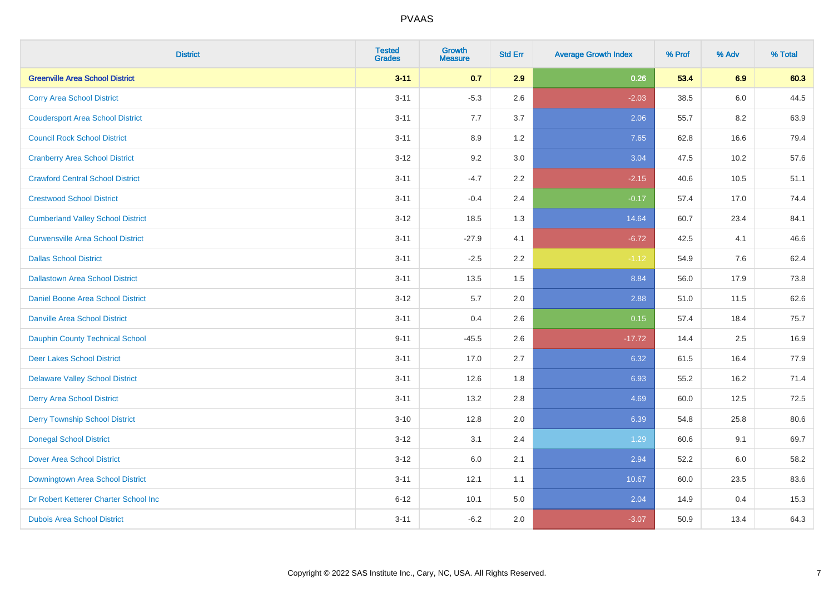| <b>District</b>                          | <b>Tested</b><br><b>Grades</b> | <b>Growth</b><br><b>Measure</b> | <b>Std Err</b> | <b>Average Growth Index</b> | % Prof | % Adv | % Total |
|------------------------------------------|--------------------------------|---------------------------------|----------------|-----------------------------|--------|-------|---------|
| <b>Greenville Area School District</b>   | $3 - 11$                       | 0.7                             | 2.9            | 0.26                        | 53.4   | 6.9   | 60.3    |
| <b>Corry Area School District</b>        | $3 - 11$                       | $-5.3$                          | 2.6            | $-2.03$                     | 38.5   | 6.0   | 44.5    |
| <b>Coudersport Area School District</b>  | $3 - 11$                       | 7.7                             | 3.7            | 2.06                        | 55.7   | 8.2   | 63.9    |
| <b>Council Rock School District</b>      | $3 - 11$                       | 8.9                             | 1.2            | 7.65                        | 62.8   | 16.6  | 79.4    |
| <b>Cranberry Area School District</b>    | $3 - 12$                       | 9.2                             | 3.0            | 3.04                        | 47.5   | 10.2  | 57.6    |
| <b>Crawford Central School District</b>  | $3 - 11$                       | $-4.7$                          | 2.2            | $-2.15$                     | 40.6   | 10.5  | 51.1    |
| <b>Crestwood School District</b>         | $3 - 11$                       | $-0.4$                          | 2.4            | $-0.17$                     | 57.4   | 17.0  | 74.4    |
| <b>Cumberland Valley School District</b> | $3 - 12$                       | 18.5                            | 1.3            | 14.64                       | 60.7   | 23.4  | 84.1    |
| <b>Curwensville Area School District</b> | $3 - 11$                       | $-27.9$                         | 4.1            | $-6.72$                     | 42.5   | 4.1   | 46.6    |
| <b>Dallas School District</b>            | $3 - 11$                       | $-2.5$                          | 2.2            | $-1.12$                     | 54.9   | 7.6   | 62.4    |
| <b>Dallastown Area School District</b>   | $3 - 11$                       | 13.5                            | 1.5            | 8.84                        | 56.0   | 17.9  | 73.8    |
| <b>Daniel Boone Area School District</b> | $3 - 12$                       | 5.7                             | 2.0            | 2.88                        | 51.0   | 11.5  | 62.6    |
| Danville Area School District            | $3 - 11$                       | 0.4                             | 2.6            | 0.15                        | 57.4   | 18.4  | 75.7    |
| <b>Dauphin County Technical School</b>   | $9 - 11$                       | $-45.5$                         | 2.6            | $-17.72$                    | 14.4   | 2.5   | 16.9    |
| <b>Deer Lakes School District</b>        | $3 - 11$                       | 17.0                            | 2.7            | 6.32                        | 61.5   | 16.4  | 77.9    |
| <b>Delaware Valley School District</b>   | $3 - 11$                       | 12.6                            | 1.8            | 6.93                        | 55.2   | 16.2  | 71.4    |
| <b>Derry Area School District</b>        | $3 - 11$                       | 13.2                            | 2.8            | 4.69                        | 60.0   | 12.5  | 72.5    |
| <b>Derry Township School District</b>    | $3 - 10$                       | 12.8                            | 2.0            | 6.39                        | 54.8   | 25.8  | 80.6    |
| <b>Donegal School District</b>           | $3 - 12$                       | 3.1                             | 2.4            | 1.29                        | 60.6   | 9.1   | 69.7    |
| Dover Area School District               | $3 - 12$                       | 6.0                             | 2.1            | 2.94                        | 52.2   | 6.0   | 58.2    |
| Downingtown Area School District         | $3 - 11$                       | 12.1                            | 1.1            | 10.67                       | 60.0   | 23.5  | 83.6    |
| Dr Robert Ketterer Charter School Inc    | $6 - 12$                       | 10.1                            | 5.0            | 2.04                        | 14.9   | 0.4   | 15.3    |
| <b>Dubois Area School District</b>       | $3 - 11$                       | $-6.2$                          | 2.0            | $-3.07$                     | 50.9   | 13.4  | 64.3    |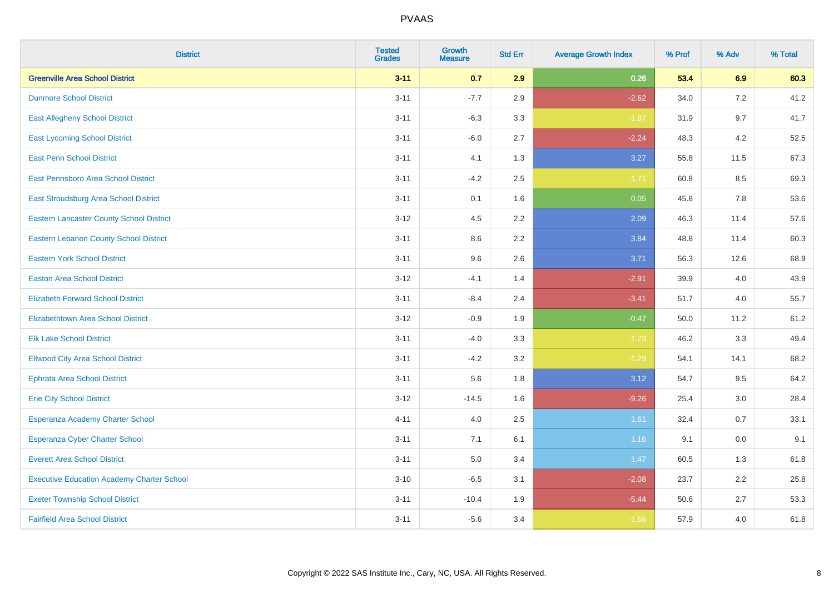| <b>District</b>                                   | <b>Tested</b><br><b>Grades</b> | <b>Growth</b><br><b>Measure</b> | <b>Std Err</b> | <b>Average Growth Index</b> | % Prof | % Adv | % Total |
|---------------------------------------------------|--------------------------------|---------------------------------|----------------|-----------------------------|--------|-------|---------|
| <b>Greenville Area School District</b>            | $3 - 11$                       | 0.7                             | 2.9            | 0.26                        | 53.4   | 6.9   | 60.3    |
| <b>Dunmore School District</b>                    | $3 - 11$                       | $-7.7$                          | 2.9            | $-2.62$                     | 34.0   | 7.2   | 41.2    |
| <b>East Allegheny School District</b>             | $3 - 11$                       | $-6.3$                          | 3.3            | $-1.87$                     | 31.9   | 9.7   | 41.7    |
| <b>East Lycoming School District</b>              | $3 - 11$                       | $-6.0$                          | 2.7            | $-2.24$                     | 48.3   | 4.2   | 52.5    |
| <b>East Penn School District</b>                  | $3 - 11$                       | 4.1                             | 1.3            | 3.27                        | 55.8   | 11.5  | 67.3    |
| East Pennsboro Area School District               | $3 - 11$                       | $-4.2$                          | 2.5            | $-1.71$                     | 60.8   | 8.5   | 69.3    |
| East Stroudsburg Area School District             | $3 - 11$                       | 0.1                             | 1.6            | 0.05                        | 45.8   | 7.8   | 53.6    |
| <b>Eastern Lancaster County School District</b>   | $3 - 12$                       | 4.5                             | 2.2            | 2.09                        | 46.3   | 11.4  | 57.6    |
| <b>Eastern Lebanon County School District</b>     | $3 - 11$                       | 8.6                             | 2.2            | 3.84                        | 48.8   | 11.4  | 60.3    |
| <b>Eastern York School District</b>               | $3 - 11$                       | 9.6                             | 2.6            | 3.71                        | 56.3   | 12.6  | 68.9    |
| <b>Easton Area School District</b>                | $3-12$                         | $-4.1$                          | 1.4            | $-2.91$                     | 39.9   | 4.0   | 43.9    |
| <b>Elizabeth Forward School District</b>          | $3 - 11$                       | $-8.4$                          | 2.4            | $-3.41$                     | 51.7   | 4.0   | 55.7    |
| <b>Elizabethtown Area School District</b>         | $3 - 12$                       | $-0.9$                          | 1.9            | $-0.47$                     | 50.0   | 11.2  | 61.2    |
| <b>Elk Lake School District</b>                   | $3 - 11$                       | $-4.0$                          | 3.3            | $-1.23$                     | 46.2   | 3.3   | 49.4    |
| <b>Ellwood City Area School District</b>          | $3 - 11$                       | $-4.2$                          | 3.2            | $-1.29$                     | 54.1   | 14.1  | 68.2    |
| <b>Ephrata Area School District</b>               | $3 - 11$                       | 5.6                             | 1.8            | 3.12                        | 54.7   | 9.5   | 64.2    |
| <b>Erie City School District</b>                  | $3 - 12$                       | $-14.5$                         | 1.6            | $-9.26$                     | 25.4   | 3.0   | 28.4    |
| Esperanza Academy Charter School                  | $4 - 11$                       | 4.0                             | 2.5            | 1.61                        | 32.4   | 0.7   | 33.1    |
| <b>Esperanza Cyber Charter School</b>             | $3 - 11$                       | 7.1                             | 6.1            | 1.16                        | 9.1    | 0.0   | 9.1     |
| <b>Everett Area School District</b>               | $3 - 11$                       | 5.0                             | 3.4            | 1.47                        | 60.5   | 1.3   | 61.8    |
| <b>Executive Education Academy Charter School</b> | $3 - 10$                       | $-6.5$                          | 3.1            | $-2.08$                     | 23.7   | 2.2   | 25.8    |
| <b>Exeter Township School District</b>            | $3 - 11$                       | $-10.4$                         | 1.9            | $-5.44$                     | 50.6   | 2.7   | 53.3    |
| <b>Fairfield Area School District</b>             | $3 - 11$                       | $-5.6$                          | 3.4            | $-1.66$                     | 57.9   | 4.0   | 61.8    |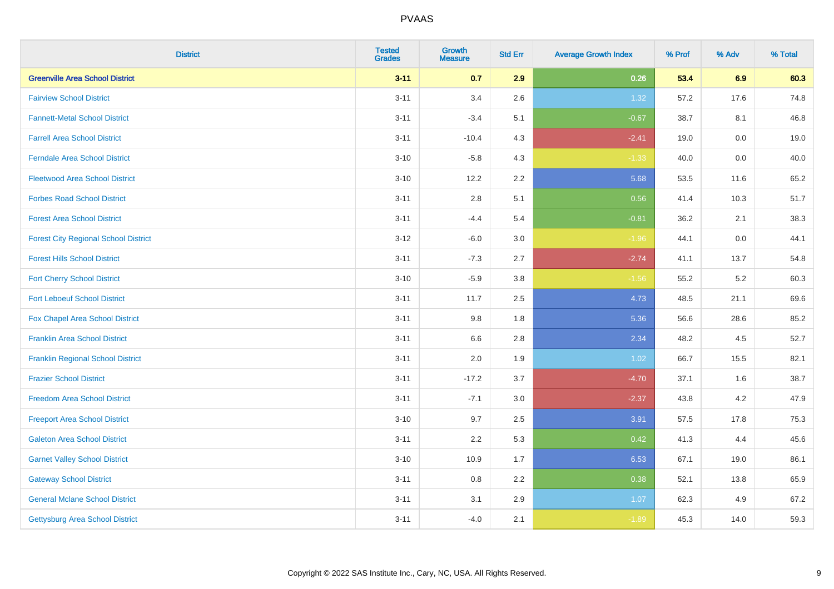| <b>District</b>                             | <b>Tested</b><br><b>Grades</b> | <b>Growth</b><br><b>Measure</b> | <b>Std Err</b> | <b>Average Growth Index</b> | % Prof | % Adv   | % Total |
|---------------------------------------------|--------------------------------|---------------------------------|----------------|-----------------------------|--------|---------|---------|
| <b>Greenville Area School District</b>      | $3 - 11$                       | 0.7                             | 2.9            | 0.26                        | 53.4   | 6.9     | 60.3    |
| <b>Fairview School District</b>             | $3 - 11$                       | 3.4                             | 2.6            | 1.32                        | 57.2   | 17.6    | 74.8    |
| <b>Fannett-Metal School District</b>        | $3 - 11$                       | $-3.4$                          | 5.1            | $-0.67$                     | 38.7   | 8.1     | 46.8    |
| <b>Farrell Area School District</b>         | $3 - 11$                       | $-10.4$                         | 4.3            | $-2.41$                     | 19.0   | $0.0\,$ | 19.0    |
| <b>Ferndale Area School District</b>        | $3 - 10$                       | $-5.8$                          | 4.3            | $-1.33$                     | 40.0   | 0.0     | 40.0    |
| <b>Fleetwood Area School District</b>       | $3 - 10$                       | 12.2                            | 2.2            | 5.68                        | 53.5   | 11.6    | 65.2    |
| <b>Forbes Road School District</b>          | $3 - 11$                       | 2.8                             | 5.1            | 0.56                        | 41.4   | 10.3    | 51.7    |
| <b>Forest Area School District</b>          | $3 - 11$                       | $-4.4$                          | 5.4            | $-0.81$                     | 36.2   | 2.1     | 38.3    |
| <b>Forest City Regional School District</b> | $3-12$                         | $-6.0$                          | 3.0            | $-1.96$                     | 44.1   | 0.0     | 44.1    |
| <b>Forest Hills School District</b>         | $3 - 11$                       | $-7.3$                          | 2.7            | $-2.74$                     | 41.1   | 13.7    | 54.8    |
| <b>Fort Cherry School District</b>          | $3 - 10$                       | $-5.9$                          | 3.8            | $-1.56$                     | 55.2   | 5.2     | 60.3    |
| <b>Fort Leboeuf School District</b>         | $3 - 11$                       | 11.7                            | 2.5            | 4.73                        | 48.5   | 21.1    | 69.6    |
| <b>Fox Chapel Area School District</b>      | $3 - 11$                       | 9.8                             | 1.8            | 5.36                        | 56.6   | 28.6    | 85.2    |
| <b>Franklin Area School District</b>        | $3 - 11$                       | 6.6                             | 2.8            | 2.34                        | 48.2   | 4.5     | 52.7    |
| <b>Franklin Regional School District</b>    | $3 - 11$                       | 2.0                             | 1.9            | 1.02                        | 66.7   | 15.5    | 82.1    |
| <b>Frazier School District</b>              | $3 - 11$                       | $-17.2$                         | 3.7            | $-4.70$                     | 37.1   | 1.6     | 38.7    |
| <b>Freedom Area School District</b>         | $3 - 11$                       | $-7.1$                          | 3.0            | $-2.37$                     | 43.8   | 4.2     | 47.9    |
| <b>Freeport Area School District</b>        | $3 - 10$                       | 9.7                             | 2.5            | 3.91                        | 57.5   | 17.8    | 75.3    |
| <b>Galeton Area School District</b>         | $3 - 11$                       | 2.2                             | 5.3            | 0.42                        | 41.3   | 4.4     | 45.6    |
| <b>Garnet Valley School District</b>        | $3 - 10$                       | 10.9                            | 1.7            | 6.53                        | 67.1   | 19.0    | 86.1    |
| <b>Gateway School District</b>              | $3 - 11$                       | 0.8                             | 2.2            | 0.38                        | 52.1   | 13.8    | 65.9    |
| <b>General Mclane School District</b>       | $3 - 11$                       | 3.1                             | 2.9            | 1.07                        | 62.3   | 4.9     | 67.2    |
| <b>Gettysburg Area School District</b>      | $3 - 11$                       | $-4.0$                          | 2.1            | $-1.89$                     | 45.3   | 14.0    | 59.3    |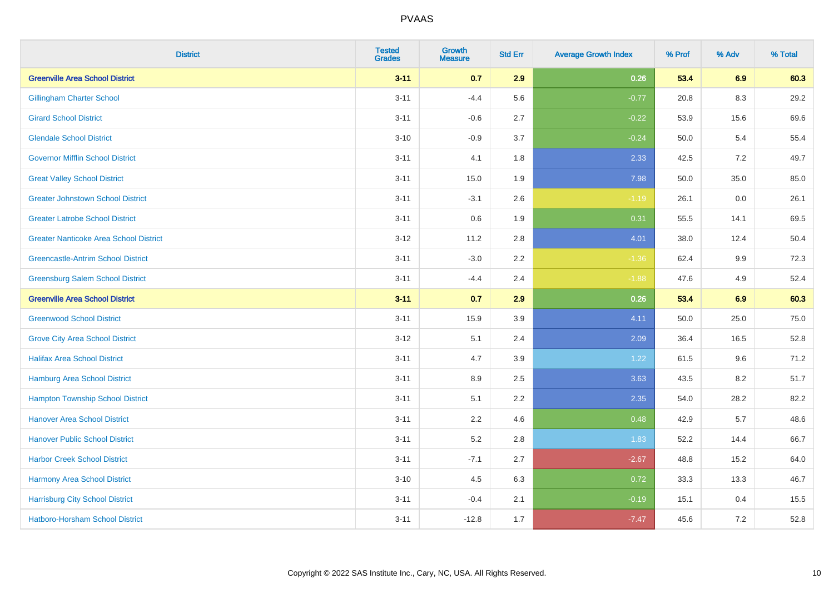| <b>District</b>                               | <b>Tested</b><br><b>Grades</b> | <b>Growth</b><br><b>Measure</b> | <b>Std Err</b> | <b>Average Growth Index</b> | % Prof | % Adv   | % Total |
|-----------------------------------------------|--------------------------------|---------------------------------|----------------|-----------------------------|--------|---------|---------|
| <b>Greenville Area School District</b>        | $3 - 11$                       | 0.7                             | 2.9            | 0.26                        | 53.4   | 6.9     | 60.3    |
| <b>Gillingham Charter School</b>              | $3 - 11$                       | $-4.4$                          | 5.6            | $-0.77$                     | 20.8   | 8.3     | 29.2    |
| <b>Girard School District</b>                 | $3 - 11$                       | $-0.6$                          | 2.7            | $-0.22$                     | 53.9   | 15.6    | 69.6    |
| <b>Glendale School District</b>               | $3 - 10$                       | $-0.9$                          | 3.7            | $-0.24$                     | 50.0   | 5.4     | 55.4    |
| <b>Governor Mifflin School District</b>       | $3 - 11$                       | 4.1                             | 1.8            | 2.33                        | 42.5   | 7.2     | 49.7    |
| <b>Great Valley School District</b>           | $3 - 11$                       | 15.0                            | 1.9            | 7.98                        | 50.0   | 35.0    | 85.0    |
| <b>Greater Johnstown School District</b>      | $3 - 11$                       | $-3.1$                          | 2.6            | $-1.19$                     | 26.1   | $0.0\,$ | 26.1    |
| <b>Greater Latrobe School District</b>        | $3 - 11$                       | 0.6                             | 1.9            | 0.31                        | 55.5   | 14.1    | 69.5    |
| <b>Greater Nanticoke Area School District</b> | $3-12$                         | 11.2                            | 2.8            | 4.01                        | 38.0   | 12.4    | 50.4    |
| <b>Greencastle-Antrim School District</b>     | $3 - 11$                       | $-3.0$                          | $2.2\,$        | $-1.36$                     | 62.4   | 9.9     | 72.3    |
| <b>Greensburg Salem School District</b>       | $3 - 11$                       | $-4.4$                          | 2.4            | $-1.88$                     | 47.6   | 4.9     | 52.4    |
| <b>Greenville Area School District</b>        | $3 - 11$                       | 0.7                             | 2.9            | 0.26                        | 53.4   | 6.9     | 60.3    |
| <b>Greenwood School District</b>              | $3 - 11$                       | 15.9                            | 3.9            | 4.11                        | 50.0   | 25.0    | 75.0    |
| <b>Grove City Area School District</b>        | $3-12$                         | 5.1                             | 2.4            | 2.09                        | 36.4   | 16.5    | 52.8    |
| <b>Halifax Area School District</b>           | $3 - 11$                       | 4.7                             | 3.9            | 1.22                        | 61.5   | 9.6     | 71.2    |
| <b>Hamburg Area School District</b>           | $3 - 11$                       | 8.9                             | 2.5            | 3.63                        | 43.5   | 8.2     | 51.7    |
| <b>Hampton Township School District</b>       | $3 - 11$                       | 5.1                             | 2.2            | 2.35                        | 54.0   | 28.2    | 82.2    |
| <b>Hanover Area School District</b>           | $3 - 11$                       | 2.2                             | 4.6            | 0.48                        | 42.9   | 5.7     | 48.6    |
| <b>Hanover Public School District</b>         | $3 - 11$                       | 5.2                             | 2.8            | 1.83                        | 52.2   | 14.4    | 66.7    |
| <b>Harbor Creek School District</b>           | $3 - 11$                       | $-7.1$                          | 2.7            | $-2.67$                     | 48.8   | 15.2    | 64.0    |
| Harmony Area School District                  | $3 - 10$                       | 4.5                             | 6.3            | 0.72                        | 33.3   | 13.3    | 46.7    |
| <b>Harrisburg City School District</b>        | $3 - 11$                       | $-0.4$                          | 2.1            | $-0.19$                     | 15.1   | 0.4     | 15.5    |
| Hatboro-Horsham School District               | $3 - 11$                       | $-12.8$                         | 1.7            | $-7.47$                     | 45.6   | $7.2\,$ | 52.8    |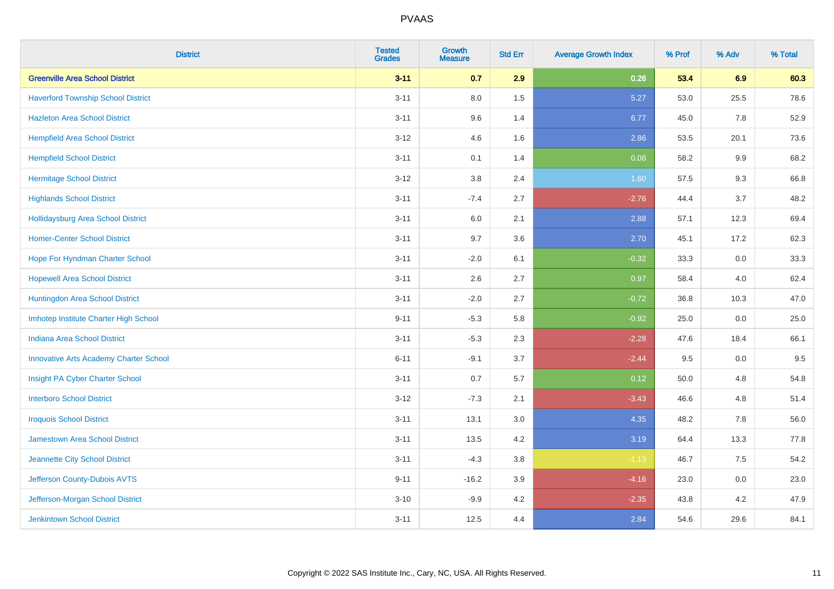| <b>District</b>                               | <b>Tested</b><br><b>Grades</b> | <b>Growth</b><br><b>Measure</b> | <b>Std Err</b> | <b>Average Growth Index</b> | % Prof | % Adv   | % Total |
|-----------------------------------------------|--------------------------------|---------------------------------|----------------|-----------------------------|--------|---------|---------|
| <b>Greenville Area School District</b>        | $3 - 11$                       | 0.7                             | 2.9            | 0.26                        | 53.4   | 6.9     | 60.3    |
| <b>Haverford Township School District</b>     | $3 - 11$                       | 8.0                             | 1.5            | 5.27                        | 53.0   | 25.5    | 78.6    |
| <b>Hazleton Area School District</b>          | $3 - 11$                       | 9.6                             | 1.4            | 6.77                        | 45.0   | 7.8     | 52.9    |
| <b>Hempfield Area School District</b>         | $3-12$                         | 4.6                             | 1.6            | 2.86                        | 53.5   | 20.1    | 73.6    |
| <b>Hempfield School District</b>              | $3 - 11$                       | 0.1                             | 1.4            | 0.08                        | 58.2   | 9.9     | 68.2    |
| <b>Hermitage School District</b>              | $3 - 12$                       | 3.8                             | 2.4            | 1.60                        | 57.5   | 9.3     | 66.8    |
| <b>Highlands School District</b>              | $3 - 11$                       | $-7.4$                          | 2.7            | $-2.76$                     | 44.4   | 3.7     | 48.2    |
| Hollidaysburg Area School District            | $3 - 11$                       | 6.0                             | 2.1            | 2.88                        | 57.1   | 12.3    | 69.4    |
| <b>Homer-Center School District</b>           | $3 - 11$                       | 9.7                             | 3.6            | 2.70                        | 45.1   | 17.2    | 62.3    |
| Hope For Hyndman Charter School               | $3 - 11$                       | $-2.0$                          | 6.1            | $-0.32$                     | 33.3   | 0.0     | 33.3    |
| <b>Hopewell Area School District</b>          | $3 - 11$                       | 2.6                             | 2.7            | 0.97                        | 58.4   | 4.0     | 62.4    |
| Huntingdon Area School District               | $3 - 11$                       | $-2.0$                          | 2.7            | $-0.72$                     | 36.8   | 10.3    | 47.0    |
| Imhotep Institute Charter High School         | $9 - 11$                       | $-5.3$                          | 5.8            | $-0.92$                     | 25.0   | $0.0\,$ | 25.0    |
| Indiana Area School District                  | $3 - 11$                       | $-5.3$                          | 2.3            | $-2.28$                     | 47.6   | 18.4    | 66.1    |
| <b>Innovative Arts Academy Charter School</b> | $6 - 11$                       | $-9.1$                          | 3.7            | $-2.44$                     | 9.5    | $0.0\,$ | 9.5     |
| Insight PA Cyber Charter School               | $3 - 11$                       | 0.7                             | 5.7            | 0.12                        | 50.0   | 4.8     | 54.8    |
| <b>Interboro School District</b>              | $3 - 12$                       | $-7.3$                          | 2.1            | $-3.43$                     | 46.6   | 4.8     | 51.4    |
| <b>Iroquois School District</b>               | $3 - 11$                       | 13.1                            | 3.0            | 4.35                        | 48.2   | 7.8     | 56.0    |
| <b>Jamestown Area School District</b>         | $3 - 11$                       | 13.5                            | 4.2            | 3.19                        | 64.4   | 13.3    | 77.8    |
| Jeannette City School District                | $3 - 11$                       | $-4.3$                          | $3.8\,$        | $-1.13$                     | 46.7   | 7.5     | 54.2    |
| Jefferson County-Dubois AVTS                  | $9 - 11$                       | $-16.2$                         | 3.9            | $-4.16$                     | 23.0   | 0.0     | 23.0    |
| Jefferson-Morgan School District              | $3 - 10$                       | $-9.9$                          | 4.2            | $-2.35$                     | 43.8   | 4.2     | 47.9    |
| <b>Jenkintown School District</b>             | $3 - 11$                       | 12.5                            | 4.4            | 2.84                        | 54.6   | 29.6    | 84.1    |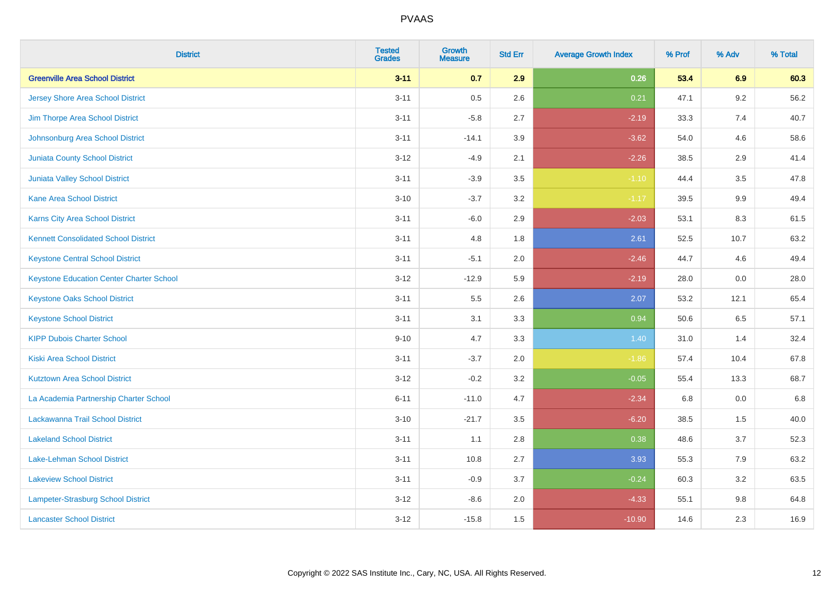| <b>District</b>                                 | <b>Tested</b><br><b>Grades</b> | <b>Growth</b><br><b>Measure</b> | <b>Std Err</b> | <b>Average Growth Index</b> | % Prof | % Adv   | % Total |
|-------------------------------------------------|--------------------------------|---------------------------------|----------------|-----------------------------|--------|---------|---------|
| <b>Greenville Area School District</b>          | $3 - 11$                       | 0.7                             | 2.9            | 0.26                        | 53.4   | 6.9     | 60.3    |
| <b>Jersey Shore Area School District</b>        | $3 - 11$                       | 0.5                             | 2.6            | 0.21                        | 47.1   | $9.2\,$ | 56.2    |
| Jim Thorpe Area School District                 | $3 - 11$                       | $-5.8$                          | 2.7            | $-2.19$                     | 33.3   | 7.4     | 40.7    |
| Johnsonburg Area School District                | $3 - 11$                       | $-14.1$                         | 3.9            | $-3.62$                     | 54.0   | 4.6     | 58.6    |
| <b>Juniata County School District</b>           | $3 - 12$                       | $-4.9$                          | 2.1            | $-2.26$                     | 38.5   | 2.9     | 41.4    |
| <b>Juniata Valley School District</b>           | $3 - 11$                       | $-3.9$                          | 3.5            | $-1.10$                     | 44.4   | 3.5     | 47.8    |
| <b>Kane Area School District</b>                | $3 - 10$                       | $-3.7$                          | 3.2            | $-1.17$                     | 39.5   | 9.9     | 49.4    |
| <b>Karns City Area School District</b>          | $3 - 11$                       | $-6.0$                          | 2.9            | $-2.03$                     | 53.1   | 8.3     | 61.5    |
| <b>Kennett Consolidated School District</b>     | $3 - 11$                       | 4.8                             | 1.8            | 2.61                        | 52.5   | 10.7    | 63.2    |
| <b>Keystone Central School District</b>         | $3 - 11$                       | $-5.1$                          | 2.0            | $-2.46$                     | 44.7   | 4.6     | 49.4    |
| <b>Keystone Education Center Charter School</b> | $3 - 12$                       | $-12.9$                         | 5.9            | $-2.19$                     | 28.0   | 0.0     | 28.0    |
| <b>Keystone Oaks School District</b>            | $3 - 11$                       | 5.5                             | 2.6            | 2.07                        | 53.2   | 12.1    | 65.4    |
| <b>Keystone School District</b>                 | $3 - 11$                       | 3.1                             | 3.3            | 0.94                        | 50.6   | $6.5\,$ | 57.1    |
| <b>KIPP Dubois Charter School</b>               | $9 - 10$                       | 4.7                             | 3.3            | 1.40                        | 31.0   | 1.4     | 32.4    |
| <b>Kiski Area School District</b>               | $3 - 11$                       | $-3.7$                          | 2.0            | $-1.86$                     | 57.4   | 10.4    | 67.8    |
| <b>Kutztown Area School District</b>            | $3 - 12$                       | $-0.2$                          | 3.2            | $-0.05$                     | 55.4   | 13.3    | 68.7    |
| La Academia Partnership Charter School          | $6 - 11$                       | $-11.0$                         | 4.7            | $-2.34$                     | 6.8    | 0.0     | 6.8     |
| Lackawanna Trail School District                | $3 - 10$                       | $-21.7$                         | 3.5            | $-6.20$                     | 38.5   | 1.5     | 40.0    |
| <b>Lakeland School District</b>                 | $3 - 11$                       | 1.1                             | 2.8            | 0.38                        | 48.6   | 3.7     | 52.3    |
| Lake-Lehman School District                     | $3 - 11$                       | 10.8                            | 2.7            | 3.93                        | 55.3   | 7.9     | 63.2    |
| <b>Lakeview School District</b>                 | $3 - 11$                       | $-0.9$                          | 3.7            | $-0.24$                     | 60.3   | 3.2     | 63.5    |
| Lampeter-Strasburg School District              | $3-12$                         | $-8.6$                          | 2.0            | $-4.33$                     | 55.1   | 9.8     | 64.8    |
| <b>Lancaster School District</b>                | $3 - 12$                       | $-15.8$                         | 1.5            | $-10.90$                    | 14.6   | 2.3     | 16.9    |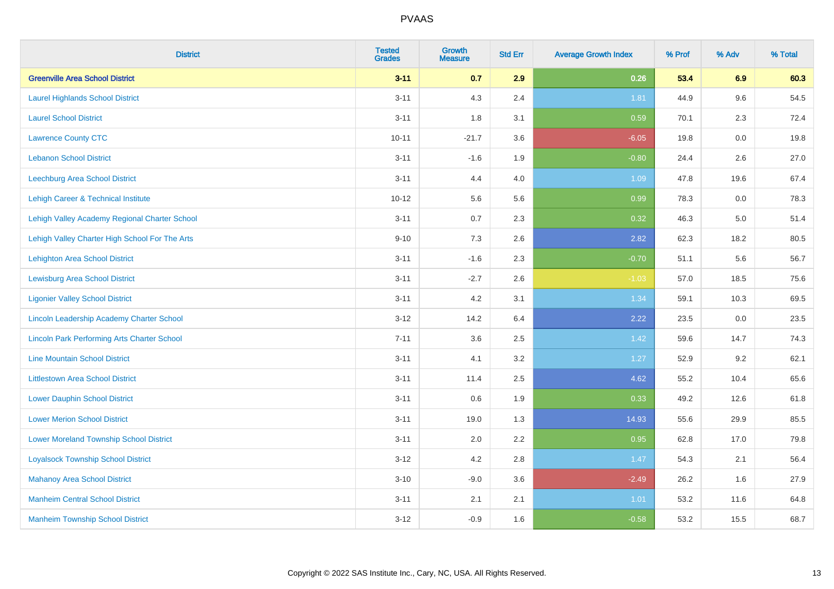| <b>District</b>                                    | <b>Tested</b><br><b>Grades</b> | <b>Growth</b><br><b>Measure</b> | <b>Std Err</b> | <b>Average Growth Index</b> | % Prof | % Adv   | % Total |
|----------------------------------------------------|--------------------------------|---------------------------------|----------------|-----------------------------|--------|---------|---------|
| <b>Greenville Area School District</b>             | $3 - 11$                       | 0.7                             | 2.9            | 0.26                        | 53.4   | 6.9     | 60.3    |
| <b>Laurel Highlands School District</b>            | $3 - 11$                       | 4.3                             | 2.4            | 1.81                        | 44.9   | 9.6     | 54.5    |
| <b>Laurel School District</b>                      | $3 - 11$                       | 1.8                             | 3.1            | 0.59                        | 70.1   | 2.3     | 72.4    |
| <b>Lawrence County CTC</b>                         | $10 - 11$                      | $-21.7$                         | 3.6            | $-6.05$                     | 19.8   | $0.0\,$ | 19.8    |
| <b>Lebanon School District</b>                     | $3 - 11$                       | $-1.6$                          | 1.9            | $-0.80$                     | 24.4   | 2.6     | 27.0    |
| <b>Leechburg Area School District</b>              | $3 - 11$                       | 4.4                             | 4.0            | 1.09                        | 47.8   | 19.6    | 67.4    |
| Lehigh Career & Technical Institute                | $10 - 12$                      | 5.6                             | 5.6            | 0.99                        | 78.3   | 0.0     | 78.3    |
| Lehigh Valley Academy Regional Charter School      | $3 - 11$                       | 0.7                             | 2.3            | 0.32                        | 46.3   | 5.0     | 51.4    |
| Lehigh Valley Charter High School For The Arts     | $9 - 10$                       | 7.3                             | 2.6            | 2.82                        | 62.3   | 18.2    | 80.5    |
| <b>Lehighton Area School District</b>              | $3 - 11$                       | $-1.6$                          | 2.3            | $-0.70$                     | 51.1   | 5.6     | 56.7    |
| <b>Lewisburg Area School District</b>              | $3 - 11$                       | $-2.7$                          | 2.6            | $-1.03$                     | 57.0   | 18.5    | 75.6    |
| <b>Ligonier Valley School District</b>             | $3 - 11$                       | 4.2                             | 3.1            | 1.34                        | 59.1   | 10.3    | 69.5    |
| Lincoln Leadership Academy Charter School          | $3 - 12$                       | 14.2                            | 6.4            | 2.22                        | 23.5   | 0.0     | 23.5    |
| <b>Lincoln Park Performing Arts Charter School</b> | $7 - 11$                       | 3.6                             | 2.5            | 1.42                        | 59.6   | 14.7    | 74.3    |
| <b>Line Mountain School District</b>               | $3 - 11$                       | 4.1                             | 3.2            | 1.27                        | 52.9   | 9.2     | 62.1    |
| <b>Littlestown Area School District</b>            | $3 - 11$                       | 11.4                            | 2.5            | 4.62                        | 55.2   | 10.4    | 65.6    |
| <b>Lower Dauphin School District</b>               | $3 - 11$                       | 0.6                             | 1.9            | 0.33                        | 49.2   | 12.6    | 61.8    |
| <b>Lower Merion School District</b>                | $3 - 11$                       | 19.0                            | 1.3            | 14.93                       | 55.6   | 29.9    | 85.5    |
| <b>Lower Moreland Township School District</b>     | $3 - 11$                       | 2.0                             | 2.2            | 0.95                        | 62.8   | 17.0    | 79.8    |
| <b>Loyalsock Township School District</b>          | $3-12$                         | 4.2                             | 2.8            | 1.47                        | 54.3   | 2.1     | 56.4    |
| <b>Mahanoy Area School District</b>                | $3 - 10$                       | $-9.0$                          | 3.6            | $-2.49$                     | 26.2   | 1.6     | 27.9    |
| <b>Manheim Central School District</b>             | $3 - 11$                       | 2.1                             | 2.1            | 1.01                        | 53.2   | 11.6    | 64.8    |
| <b>Manheim Township School District</b>            | $3-12$                         | $-0.9$                          | 1.6            | $-0.58$                     | 53.2   | 15.5    | 68.7    |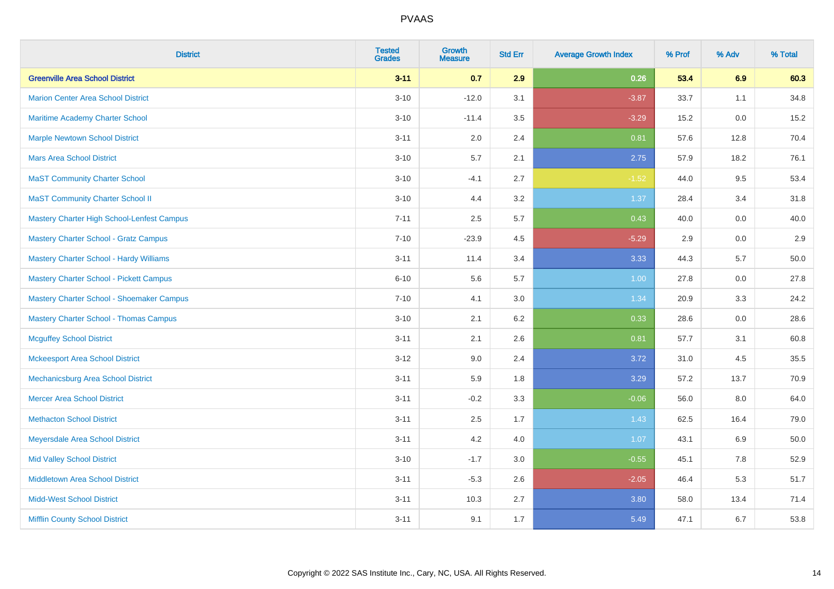| <b>District</b>                                   | <b>Tested</b><br><b>Grades</b> | <b>Growth</b><br><b>Measure</b> | <b>Std Err</b> | <b>Average Growth Index</b> | % Prof | % Adv | % Total |
|---------------------------------------------------|--------------------------------|---------------------------------|----------------|-----------------------------|--------|-------|---------|
| <b>Greenville Area School District</b>            | $3 - 11$                       | 0.7                             | 2.9            | 0.26                        | 53.4   | 6.9   | 60.3    |
| <b>Marion Center Area School District</b>         | $3 - 10$                       | $-12.0$                         | 3.1            | $-3.87$                     | 33.7   | 1.1   | 34.8    |
| <b>Maritime Academy Charter School</b>            | $3 - 10$                       | $-11.4$                         | 3.5            | $-3.29$                     | 15.2   | 0.0   | 15.2    |
| <b>Marple Newtown School District</b>             | $3 - 11$                       | 2.0                             | 2.4            | 0.81                        | 57.6   | 12.8  | 70.4    |
| <b>Mars Area School District</b>                  | $3 - 10$                       | 5.7                             | 2.1            | 2.75                        | 57.9   | 18.2  | 76.1    |
| <b>MaST Community Charter School</b>              | $3 - 10$                       | $-4.1$                          | 2.7            | $-1.52$                     | 44.0   | 9.5   | 53.4    |
| <b>MaST Community Charter School II</b>           | $3 - 10$                       | 4.4                             | 3.2            | 1.37                        | 28.4   | 3.4   | 31.8    |
| <b>Mastery Charter High School-Lenfest Campus</b> | $7 - 11$                       | 2.5                             | 5.7            | 0.43                        | 40.0   | 0.0   | 40.0    |
| <b>Mastery Charter School - Gratz Campus</b>      | $7 - 10$                       | $-23.9$                         | 4.5            | $-5.29$                     | 2.9    | 0.0   | 2.9     |
| <b>Mastery Charter School - Hardy Williams</b>    | $3 - 11$                       | 11.4                            | 3.4            | 3.33                        | 44.3   | 5.7   | 50.0    |
| <b>Mastery Charter School - Pickett Campus</b>    | $6 - 10$                       | 5.6                             | 5.7            | 1.00                        | 27.8   | 0.0   | 27.8    |
| Mastery Charter School - Shoemaker Campus         | $7 - 10$                       | 4.1                             | 3.0            | 1.34                        | 20.9   | 3.3   | 24.2    |
| <b>Mastery Charter School - Thomas Campus</b>     | $3 - 10$                       | 2.1                             | 6.2            | 0.33                        | 28.6   | 0.0   | 28.6    |
| <b>Mcguffey School District</b>                   | $3 - 11$                       | 2.1                             | 2.6            | 0.81                        | 57.7   | 3.1   | 60.8    |
| <b>Mckeesport Area School District</b>            | $3-12$                         | 9.0                             | 2.4            | 3.72                        | 31.0   | 4.5   | 35.5    |
| Mechanicsburg Area School District                | $3 - 11$                       | 5.9                             | 1.8            | 3.29                        | 57.2   | 13.7  | 70.9    |
| <b>Mercer Area School District</b>                | $3 - 11$                       | $-0.2$                          | 3.3            | $-0.06$                     | 56.0   | 8.0   | 64.0    |
| <b>Methacton School District</b>                  | $3 - 11$                       | 2.5                             | 1.7            | 1.43                        | 62.5   | 16.4  | 79.0    |
| Meyersdale Area School District                   | $3 - 11$                       | 4.2                             | 4.0            | 1.07                        | 43.1   | 6.9   | 50.0    |
| <b>Mid Valley School District</b>                 | $3 - 10$                       | $-1.7$                          | 3.0            | $-0.55$                     | 45.1   | 7.8   | 52.9    |
| <b>Middletown Area School District</b>            | $3 - 11$                       | $-5.3$                          | 2.6            | $-2.05$                     | 46.4   | 5.3   | 51.7    |
| <b>Midd-West School District</b>                  | $3 - 11$                       | 10.3                            | 2.7            | 3.80                        | 58.0   | 13.4  | 71.4    |
| <b>Mifflin County School District</b>             | $3 - 11$                       | 9.1                             | 1.7            | 5.49                        | 47.1   | 6.7   | 53.8    |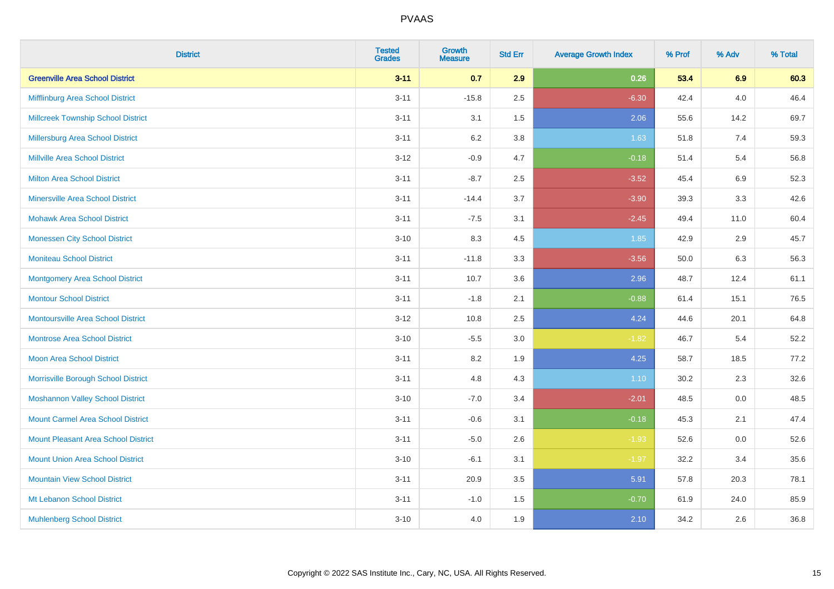| <b>District</b>                           | <b>Tested</b><br><b>Grades</b> | <b>Growth</b><br><b>Measure</b> | <b>Std Err</b> | <b>Average Growth Index</b> | % Prof | % Adv   | % Total |
|-------------------------------------------|--------------------------------|---------------------------------|----------------|-----------------------------|--------|---------|---------|
| <b>Greenville Area School District</b>    | $3 - 11$                       | 0.7                             | 2.9            | 0.26                        | 53.4   | 6.9     | 60.3    |
| Mifflinburg Area School District          | $3 - 11$                       | $-15.8$                         | 2.5            | $-6.30$                     | 42.4   | 4.0     | 46.4    |
| <b>Millcreek Township School District</b> | $3 - 11$                       | 3.1                             | 1.5            | 2.06                        | 55.6   | 14.2    | 69.7    |
| Millersburg Area School District          | $3 - 11$                       | 6.2                             | 3.8            | 1.63                        | 51.8   | 7.4     | 59.3    |
| <b>Millville Area School District</b>     | $3-12$                         | $-0.9$                          | 4.7            | $-0.18$                     | 51.4   | 5.4     | 56.8    |
| <b>Milton Area School District</b>        | $3 - 11$                       | $-8.7$                          | 2.5            | $-3.52$                     | 45.4   | 6.9     | 52.3    |
| <b>Minersville Area School District</b>   | $3 - 11$                       | $-14.4$                         | 3.7            | $-3.90$                     | 39.3   | 3.3     | 42.6    |
| <b>Mohawk Area School District</b>        | $3 - 11$                       | $-7.5$                          | 3.1            | $-2.45$                     | 49.4   | 11.0    | 60.4    |
| <b>Monessen City School District</b>      | $3 - 10$                       | 8.3                             | 4.5            | 1.85                        | 42.9   | 2.9     | 45.7    |
| <b>Moniteau School District</b>           | $3 - 11$                       | $-11.8$                         | 3.3            | $-3.56$                     | 50.0   | 6.3     | 56.3    |
| Montgomery Area School District           | $3 - 11$                       | 10.7                            | 3.6            | 2.96                        | 48.7   | 12.4    | 61.1    |
| <b>Montour School District</b>            | $3 - 11$                       | $-1.8$                          | 2.1            | $-0.88$                     | 61.4   | 15.1    | 76.5    |
| <b>Montoursville Area School District</b> | $3-12$                         | 10.8                            | 2.5            | 4.24                        | 44.6   | 20.1    | 64.8    |
| <b>Montrose Area School District</b>      | $3 - 10$                       | $-5.5$                          | $3.0\,$        | $-1.82$                     | 46.7   | 5.4     | 52.2    |
| Moon Area School District                 | $3 - 11$                       | 8.2                             | 1.9            | 4.25                        | 58.7   | 18.5    | 77.2    |
| Morrisville Borough School District       | $3 - 11$                       | 4.8                             | 4.3            | 1.10                        | 30.2   | 2.3     | 32.6    |
| <b>Moshannon Valley School District</b>   | $3 - 10$                       | $-7.0$                          | 3.4            | $-2.01$                     | 48.5   | $0.0\,$ | 48.5    |
| <b>Mount Carmel Area School District</b>  | $3 - 11$                       | $-0.6$                          | 3.1            | $-0.18$                     | 45.3   | 2.1     | 47.4    |
| Mount Pleasant Area School District       | $3 - 11$                       | $-5.0$                          | 2.6            | $-1.93$                     | 52.6   | 0.0     | 52.6    |
| <b>Mount Union Area School District</b>   | $3 - 10$                       | $-6.1$                          | 3.1            | $-1.97$                     | 32.2   | 3.4     | 35.6    |
| <b>Mountain View School District</b>      | $3 - 11$                       | 20.9                            | 3.5            | 5.91                        | 57.8   | 20.3    | 78.1    |
| Mt Lebanon School District                | $3 - 11$                       | $-1.0$                          | 1.5            | $-0.70$                     | 61.9   | 24.0    | 85.9    |
| <b>Muhlenberg School District</b>         | $3 - 10$                       | 4.0                             | 1.9            | 2.10                        | 34.2   | 2.6     | 36.8    |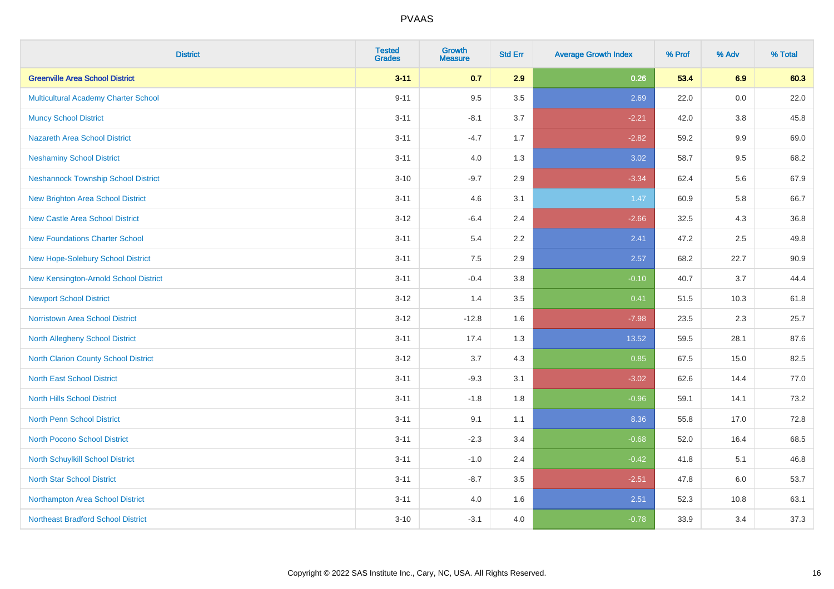| <b>District</b>                             | <b>Tested</b><br><b>Grades</b> | <b>Growth</b><br><b>Measure</b> | <b>Std Err</b> | <b>Average Growth Index</b> | % Prof | % Adv   | % Total |
|---------------------------------------------|--------------------------------|---------------------------------|----------------|-----------------------------|--------|---------|---------|
| <b>Greenville Area School District</b>      | $3 - 11$                       | 0.7                             | 2.9            | 0.26                        | 53.4   | 6.9     | 60.3    |
| Multicultural Academy Charter School        | $9 - 11$                       | 9.5                             | 3.5            | 2.69                        | 22.0   | 0.0     | 22.0    |
| <b>Muncy School District</b>                | $3 - 11$                       | $-8.1$                          | 3.7            | $-2.21$                     | 42.0   | 3.8     | 45.8    |
| <b>Nazareth Area School District</b>        | $3 - 11$                       | $-4.7$                          | 1.7            | $-2.82$                     | 59.2   | $9.9\,$ | 69.0    |
| <b>Neshaminy School District</b>            | $3 - 11$                       | 4.0                             | 1.3            | 3.02                        | 58.7   | 9.5     | 68.2    |
| <b>Neshannock Township School District</b>  | $3 - 10$                       | $-9.7$                          | 2.9            | $-3.34$                     | 62.4   | 5.6     | 67.9    |
| <b>New Brighton Area School District</b>    | $3 - 11$                       | 4.6                             | 3.1            | 1.47                        | 60.9   | 5.8     | 66.7    |
| <b>New Castle Area School District</b>      | $3-12$                         | $-6.4$                          | 2.4            | $-2.66$                     | 32.5   | 4.3     | 36.8    |
| <b>New Foundations Charter School</b>       | $3 - 11$                       | 5.4                             | 2.2            | 2.41                        | 47.2   | 2.5     | 49.8    |
| New Hope-Solebury School District           | $3 - 11$                       | 7.5                             | 2.9            | 2.57                        | 68.2   | 22.7    | 90.9    |
| New Kensington-Arnold School District       | $3 - 11$                       | $-0.4$                          | 3.8            | $-0.10$                     | 40.7   | 3.7     | 44.4    |
| <b>Newport School District</b>              | $3-12$                         | 1.4                             | 3.5            | 0.41                        | 51.5   | 10.3    | 61.8    |
| Norristown Area School District             | $3 - 12$                       | $-12.8$                         | 1.6            | $-7.98$                     | 23.5   | $2.3\,$ | 25.7    |
| <b>North Allegheny School District</b>      | $3 - 11$                       | 17.4                            | 1.3            | 13.52                       | 59.5   | 28.1    | 87.6    |
| <b>North Clarion County School District</b> | $3-12$                         | 3.7                             | 4.3            | 0.85                        | 67.5   | 15.0    | 82.5    |
| <b>North East School District</b>           | $3 - 11$                       | $-9.3$                          | 3.1            | $-3.02$                     | 62.6   | 14.4    | 77.0    |
| <b>North Hills School District</b>          | $3 - 11$                       | $-1.8$                          | 1.8            | $-0.96$                     | 59.1   | 14.1    | 73.2    |
| <b>North Penn School District</b>           | $3 - 11$                       | 9.1                             | 1.1            | 8.36                        | 55.8   | 17.0    | 72.8    |
| <b>North Pocono School District</b>         | $3 - 11$                       | $-2.3$                          | 3.4            | $-0.68$                     | 52.0   | 16.4    | 68.5    |
| <b>North Schuylkill School District</b>     | $3 - 11$                       | $-1.0$                          | 2.4            | $-0.42$                     | 41.8   | 5.1     | 46.8    |
| <b>North Star School District</b>           | $3 - 11$                       | $-8.7$                          | 3.5            | $-2.51$                     | 47.8   | 6.0     | 53.7    |
| Northampton Area School District            | $3 - 11$                       | 4.0                             | 1.6            | 2.51                        | 52.3   | 10.8    | 63.1    |
| <b>Northeast Bradford School District</b>   | $3 - 10$                       | $-3.1$                          | 4.0            | $-0.78$                     | 33.9   | 3.4     | 37.3    |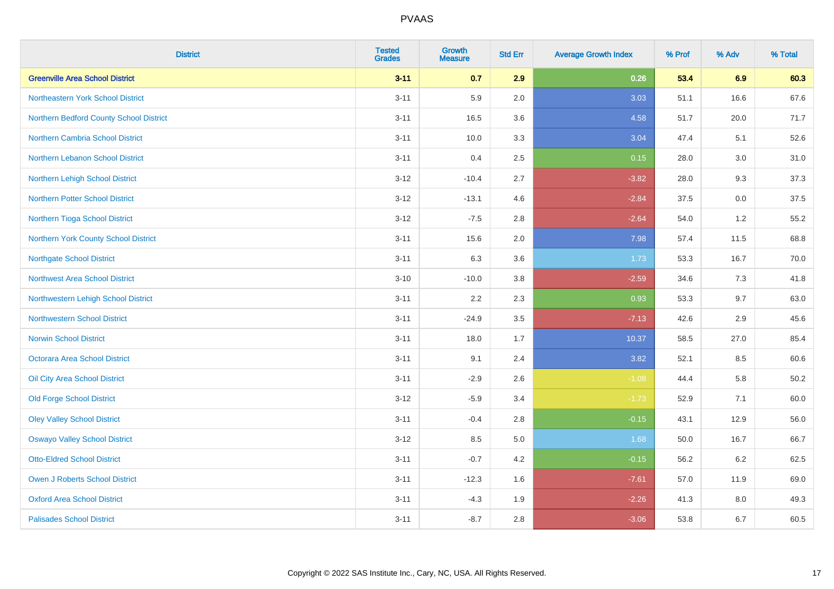| <b>District</b>                         | <b>Tested</b><br><b>Grades</b> | <b>Growth</b><br><b>Measure</b> | <b>Std Err</b> | <b>Average Growth Index</b> | % Prof | % Adv | % Total |
|-----------------------------------------|--------------------------------|---------------------------------|----------------|-----------------------------|--------|-------|---------|
| <b>Greenville Area School District</b>  | $3 - 11$                       | 0.7                             | 2.9            | 0.26                        | 53.4   | 6.9   | 60.3    |
| Northeastern York School District       | $3 - 11$                       | 5.9                             | 2.0            | 3.03                        | 51.1   | 16.6  | 67.6    |
| Northern Bedford County School District | $3 - 11$                       | 16.5                            | 3.6            | 4.58                        | 51.7   | 20.0  | 71.7    |
| Northern Cambria School District        | $3 - 11$                       | 10.0                            | 3.3            | 3.04                        | 47.4   | 5.1   | 52.6    |
| Northern Lebanon School District        | $3 - 11$                       | 0.4                             | 2.5            | 0.15                        | 28.0   | 3.0   | 31.0    |
| Northern Lehigh School District         | $3 - 12$                       | $-10.4$                         | 2.7            | $-3.82$                     | 28.0   | 9.3   | 37.3    |
| <b>Northern Potter School District</b>  | $3 - 12$                       | $-13.1$                         | 4.6            | $-2.84$                     | 37.5   | 0.0   | 37.5    |
| Northern Tioga School District          | $3 - 12$                       | $-7.5$                          | 2.8            | $-2.64$                     | 54.0   | 1.2   | 55.2    |
| Northern York County School District    | $3 - 11$                       | 15.6                            | 2.0            | 7.98                        | 57.4   | 11.5  | 68.8    |
| <b>Northgate School District</b>        | $3 - 11$                       | 6.3                             | 3.6            | 1.73                        | 53.3   | 16.7  | 70.0    |
| Northwest Area School District          | $3 - 10$                       | $-10.0$                         | 3.8            | $-2.59$                     | 34.6   | 7.3   | 41.8    |
| Northwestern Lehigh School District     | $3 - 11$                       | 2.2                             | 2.3            | 0.93                        | 53.3   | 9.7   | 63.0    |
| <b>Northwestern School District</b>     | $3 - 11$                       | $-24.9$                         | 3.5            | $-7.13$                     | 42.6   | 2.9   | 45.6    |
| <b>Norwin School District</b>           | $3 - 11$                       | 18.0                            | 1.7            | 10.37                       | 58.5   | 27.0  | 85.4    |
| <b>Octorara Area School District</b>    | $3 - 11$                       | 9.1                             | 2.4            | 3.82                        | 52.1   | 8.5   | 60.6    |
| Oil City Area School District           | $3 - 11$                       | $-2.9$                          | 2.6            | $-1.08$                     | 44.4   | 5.8   | 50.2    |
| <b>Old Forge School District</b>        | $3 - 12$                       | $-5.9$                          | 3.4            | $-1.73$                     | 52.9   | 7.1   | 60.0    |
| <b>Oley Valley School District</b>      | $3 - 11$                       | $-0.4$                          | 2.8            | $-0.15$                     | 43.1   | 12.9  | 56.0    |
| <b>Oswayo Valley School District</b>    | $3 - 12$                       | 8.5                             | 5.0            | 1.68                        | 50.0   | 16.7  | 66.7    |
| <b>Otto-Eldred School District</b>      | $3 - 11$                       | $-0.7$                          | 4.2            | $-0.15$                     | 56.2   | 6.2   | 62.5    |
| <b>Owen J Roberts School District</b>   | $3 - 11$                       | $-12.3$                         | 1.6            | $-7.61$                     | 57.0   | 11.9  | 69.0    |
| <b>Oxford Area School District</b>      | $3 - 11$                       | $-4.3$                          | 1.9            | $-2.26$                     | 41.3   | 8.0   | 49.3    |
| <b>Palisades School District</b>        | $3 - 11$                       | $-8.7$                          | 2.8            | $-3.06$                     | 53.8   | 6.7   | 60.5    |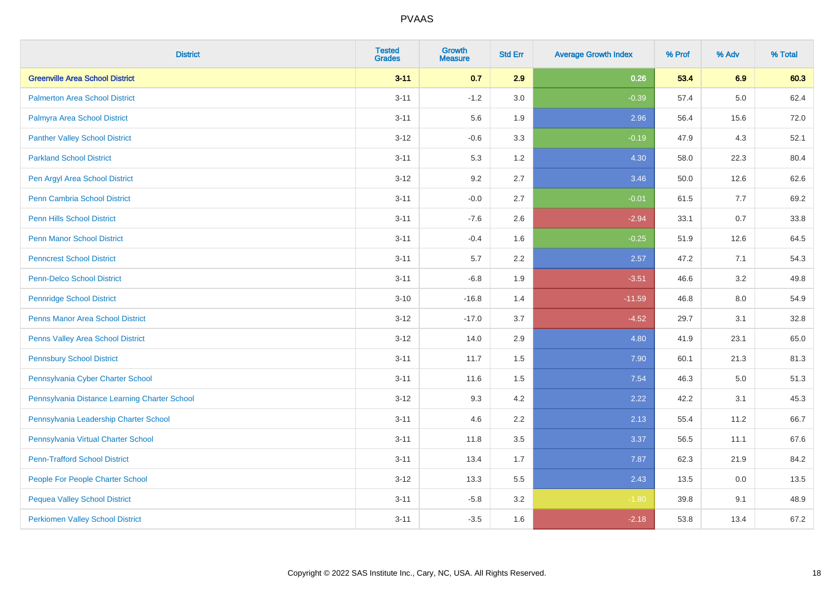| <b>District</b>                               | <b>Tested</b><br><b>Grades</b> | <b>Growth</b><br><b>Measure</b> | <b>Std Err</b> | <b>Average Growth Index</b> | % Prof | % Adv   | % Total |
|-----------------------------------------------|--------------------------------|---------------------------------|----------------|-----------------------------|--------|---------|---------|
| <b>Greenville Area School District</b>        | $3 - 11$                       | 0.7                             | 2.9            | 0.26                        | 53.4   | 6.9     | 60.3    |
| <b>Palmerton Area School District</b>         | $3 - 11$                       | $-1.2$                          | 3.0            | $-0.39$                     | 57.4   | $5.0\,$ | 62.4    |
| Palmyra Area School District                  | $3 - 11$                       | 5.6                             | 1.9            | 2.96                        | 56.4   | 15.6    | 72.0    |
| <b>Panther Valley School District</b>         | $3 - 12$                       | $-0.6$                          | 3.3            | $-0.19$                     | 47.9   | 4.3     | 52.1    |
| <b>Parkland School District</b>               | $3 - 11$                       | 5.3                             | 1.2            | 4.30                        | 58.0   | 22.3    | 80.4    |
| Pen Argyl Area School District                | $3 - 12$                       | 9.2                             | 2.7            | 3.46                        | 50.0   | 12.6    | 62.6    |
| Penn Cambria School District                  | $3 - 11$                       | $-0.0$                          | 2.7            | $-0.01$                     | 61.5   | 7.7     | 69.2    |
| <b>Penn Hills School District</b>             | $3 - 11$                       | $-7.6$                          | 2.6            | $-2.94$                     | 33.1   | 0.7     | 33.8    |
| <b>Penn Manor School District</b>             | $3 - 11$                       | $-0.4$                          | 1.6            | $-0.25$                     | 51.9   | 12.6    | 64.5    |
| <b>Penncrest School District</b>              | $3 - 11$                       | 5.7                             | 2.2            | 2.57                        | 47.2   | 7.1     | 54.3    |
| <b>Penn-Delco School District</b>             | $3 - 11$                       | $-6.8$                          | 1.9            | $-3.51$                     | 46.6   | 3.2     | 49.8    |
| <b>Pennridge School District</b>              | $3 - 10$                       | $-16.8$                         | 1.4            | $-11.59$                    | 46.8   | 8.0     | 54.9    |
| Penns Manor Area School District              | $3-12$                         | $-17.0$                         | 3.7            | $-4.52$                     | 29.7   | 3.1     | 32.8    |
| Penns Valley Area School District             | $3 - 12$                       | 14.0                            | 2.9            | 4.80                        | 41.9   | 23.1    | 65.0    |
| <b>Pennsbury School District</b>              | $3 - 11$                       | 11.7                            | 1.5            | 7.90                        | 60.1   | 21.3    | 81.3    |
| Pennsylvania Cyber Charter School             | $3 - 11$                       | 11.6                            | 1.5            | 7.54                        | 46.3   | 5.0     | 51.3    |
| Pennsylvania Distance Learning Charter School | $3 - 12$                       | 9.3                             | 4.2            | 2.22                        | 42.2   | 3.1     | 45.3    |
| Pennsylvania Leadership Charter School        | $3 - 11$                       | 4.6                             | 2.2            | 2.13                        | 55.4   | 11.2    | 66.7    |
| Pennsylvania Virtual Charter School           | $3 - 11$                       | 11.8                            | 3.5            | 3.37                        | 56.5   | 11.1    | 67.6    |
| <b>Penn-Trafford School District</b>          | $3 - 11$                       | 13.4                            | 1.7            | 7.87                        | 62.3   | 21.9    | 84.2    |
| People For People Charter School              | $3 - 12$                       | 13.3                            | 5.5            | 2.43                        | 13.5   | 0.0     | 13.5    |
| <b>Pequea Valley School District</b>          | $3 - 11$                       | $-5.8$                          | 3.2            | $-1.80$                     | 39.8   | 9.1     | 48.9    |
| <b>Perkiomen Valley School District</b>       | $3 - 11$                       | $-3.5$                          | 1.6            | $-2.18$                     | 53.8   | 13.4    | 67.2    |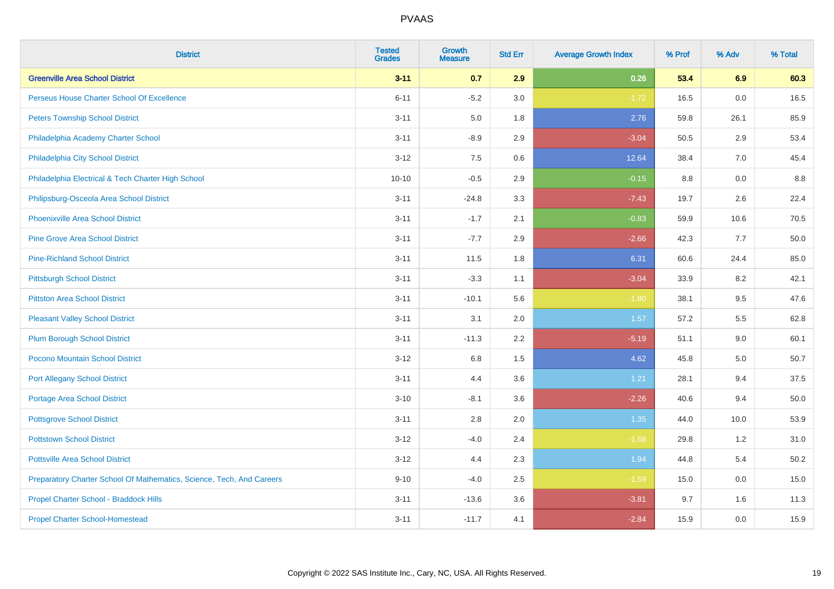| <b>District</b>                                                       | <b>Tested</b><br><b>Grades</b> | <b>Growth</b><br><b>Measure</b> | <b>Std Err</b> | <b>Average Growth Index</b> | % Prof | % Adv | % Total |
|-----------------------------------------------------------------------|--------------------------------|---------------------------------|----------------|-----------------------------|--------|-------|---------|
| <b>Greenville Area School District</b>                                | $3 - 11$                       | 0.7                             | 2.9            | 0.26                        | 53.4   | 6.9   | 60.3    |
| Perseus House Charter School Of Excellence                            | $6 - 11$                       | $-5.2$                          | 3.0            | $-1.72$                     | 16.5   | 0.0   | 16.5    |
| <b>Peters Township School District</b>                                | $3 - 11$                       | 5.0                             | 1.8            | 2.76                        | 59.8   | 26.1  | 85.9    |
| Philadelphia Academy Charter School                                   | $3 - 11$                       | $-8.9$                          | 2.9            | $-3.04$                     | 50.5   | 2.9   | 53.4    |
| Philadelphia City School District                                     | $3 - 12$                       | 7.5                             | 0.6            | 12.64                       | 38.4   | 7.0   | 45.4    |
| Philadelphia Electrical & Tech Charter High School                    | $10 - 10$                      | $-0.5$                          | 2.9            | $-0.15$                     | 8.8    | 0.0   | 8.8     |
| Philipsburg-Osceola Area School District                              | $3 - 11$                       | $-24.8$                         | 3.3            | $-7.43$                     | 19.7   | 2.6   | 22.4    |
| <b>Phoenixville Area School District</b>                              | $3 - 11$                       | $-1.7$                          | 2.1            | $-0.83$                     | 59.9   | 10.6  | 70.5    |
| <b>Pine Grove Area School District</b>                                | $3 - 11$                       | $-7.7$                          | 2.9            | $-2.66$                     | 42.3   | 7.7   | 50.0    |
| <b>Pine-Richland School District</b>                                  | $3 - 11$                       | 11.5                            | 1.8            | 6.31                        | 60.6   | 24.4  | 85.0    |
| <b>Pittsburgh School District</b>                                     | $3 - 11$                       | $-3.3$                          | 1.1            | $-3.04$                     | 33.9   | 8.2   | 42.1    |
| <b>Pittston Area School District</b>                                  | $3 - 11$                       | $-10.1$                         | 5.6            | $-1.80$                     | 38.1   | 9.5   | 47.6    |
| <b>Pleasant Valley School District</b>                                | $3 - 11$                       | 3.1                             | 2.0            | 1.57                        | 57.2   | 5.5   | 62.8    |
| <b>Plum Borough School District</b>                                   | $3 - 11$                       | $-11.3$                         | 2.2            | $-5.19$                     | 51.1   | 9.0   | 60.1    |
| Pocono Mountain School District                                       | $3 - 12$                       | 6.8                             | 1.5            | 4.62                        | 45.8   | 5.0   | 50.7    |
| <b>Port Allegany School District</b>                                  | $3 - 11$                       | 4.4                             | 3.6            | 1.21                        | 28.1   | 9.4   | 37.5    |
| <b>Portage Area School District</b>                                   | $3 - 10$                       | $-8.1$                          | 3.6            | $-2.26$                     | 40.6   | 9.4   | 50.0    |
| <b>Pottsgrove School District</b>                                     | $3 - 11$                       | 2.8                             | 2.0            | 1.35                        | 44.0   | 10.0  | 53.9    |
| <b>Pottstown School District</b>                                      | $3 - 12$                       | $-4.0$                          | 2.4            | $-1.68$                     | 29.8   | 1.2   | 31.0    |
| <b>Pottsville Area School District</b>                                | $3 - 12$                       | 4.4                             | 2.3            | 1.94                        | 44.8   | 5.4   | 50.2    |
| Preparatory Charter School Of Mathematics, Science, Tech, And Careers | $9 - 10$                       | $-4.0$                          | 2.5            | $-1.59$                     | 15.0   | 0.0   | 15.0    |
| Propel Charter School - Braddock Hills                                | $3 - 11$                       | $-13.6$                         | 3.6            | $-3.81$                     | 9.7    | 1.6   | 11.3    |
| <b>Propel Charter School-Homestead</b>                                | $3 - 11$                       | $-11.7$                         | 4.1            | $-2.84$                     | 15.9   | 0.0   | 15.9    |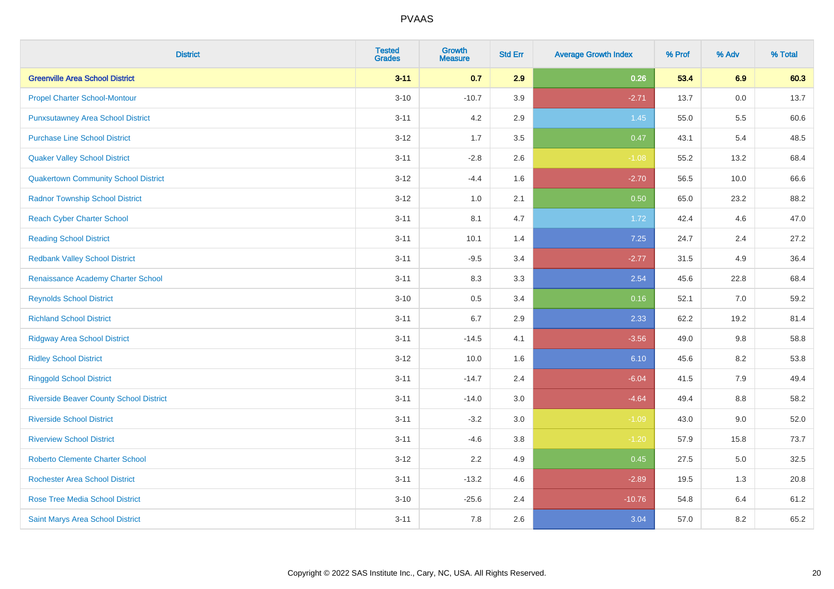| <b>District</b>                                | <b>Tested</b><br><b>Grades</b> | <b>Growth</b><br><b>Measure</b> | <b>Std Err</b> | <b>Average Growth Index</b> | % Prof | % Adv   | % Total |
|------------------------------------------------|--------------------------------|---------------------------------|----------------|-----------------------------|--------|---------|---------|
| <b>Greenville Area School District</b>         | $3 - 11$                       | 0.7                             | 2.9            | 0.26                        | 53.4   | 6.9     | 60.3    |
| <b>Propel Charter School-Montour</b>           | $3 - 10$                       | $-10.7$                         | 3.9            | $-2.71$                     | 13.7   | $0.0\,$ | 13.7    |
| <b>Punxsutawney Area School District</b>       | $3 - 11$                       | 4.2                             | 2.9            | 1.45                        | 55.0   | 5.5     | 60.6    |
| <b>Purchase Line School District</b>           | $3 - 12$                       | 1.7                             | 3.5            | 0.47                        | 43.1   | 5.4     | 48.5    |
| <b>Quaker Valley School District</b>           | $3 - 11$                       | $-2.8$                          | 2.6            | $-1.08$                     | 55.2   | 13.2    | 68.4    |
| <b>Quakertown Community School District</b>    | $3 - 12$                       | $-4.4$                          | 1.6            | $-2.70$                     | 56.5   | 10.0    | 66.6    |
| <b>Radnor Township School District</b>         | $3 - 12$                       | 1.0                             | 2.1            | 0.50                        | 65.0   | 23.2    | 88.2    |
| <b>Reach Cyber Charter School</b>              | $3 - 11$                       | 8.1                             | 4.7            | 1.72                        | 42.4   | 4.6     | 47.0    |
| <b>Reading School District</b>                 | $3 - 11$                       | 10.1                            | 1.4            | 7.25                        | 24.7   | 2.4     | 27.2    |
| <b>Redbank Valley School District</b>          | $3 - 11$                       | $-9.5$                          | 3.4            | $-2.77$                     | 31.5   | 4.9     | 36.4    |
| Renaissance Academy Charter School             | $3 - 11$                       | 8.3                             | 3.3            | 2.54                        | 45.6   | 22.8    | 68.4    |
| <b>Reynolds School District</b>                | $3 - 10$                       | 0.5                             | 3.4            | 0.16                        | 52.1   | 7.0     | 59.2    |
| <b>Richland School District</b>                | $3 - 11$                       | 6.7                             | 2.9            | 2.33                        | 62.2   | 19.2    | 81.4    |
| <b>Ridgway Area School District</b>            | $3 - 11$                       | $-14.5$                         | 4.1            | $-3.56$                     | 49.0   | 9.8     | 58.8    |
| <b>Ridley School District</b>                  | $3 - 12$                       | 10.0                            | 1.6            | 6.10                        | 45.6   | 8.2     | 53.8    |
| <b>Ringgold School District</b>                | $3 - 11$                       | $-14.7$                         | 2.4            | $-6.04$                     | 41.5   | 7.9     | 49.4    |
| <b>Riverside Beaver County School District</b> | $3 - 11$                       | $-14.0$                         | 3.0            | $-4.64$                     | 49.4   | 8.8     | 58.2    |
| <b>Riverside School District</b>               | $3 - 11$                       | $-3.2$                          | 3.0            | $-1.09$                     | 43.0   | 9.0     | 52.0    |
| <b>Riverview School District</b>               | $3 - 11$                       | $-4.6$                          | 3.8            | $-1.20$                     | 57.9   | 15.8    | 73.7    |
| <b>Roberto Clemente Charter School</b>         | $3 - 12$                       | 2.2                             | 4.9            | 0.45                        | 27.5   | $5.0\,$ | 32.5    |
| Rochester Area School District                 | $3 - 11$                       | $-13.2$                         | 4.6            | $-2.89$                     | 19.5   | 1.3     | 20.8    |
| <b>Rose Tree Media School District</b>         | $3 - 10$                       | $-25.6$                         | 2.4            | $-10.76$                    | 54.8   | 6.4     | 61.2    |
| Saint Marys Area School District               | $3 - 11$                       | 7.8                             | 2.6            | 3.04                        | 57.0   | 8.2     | 65.2    |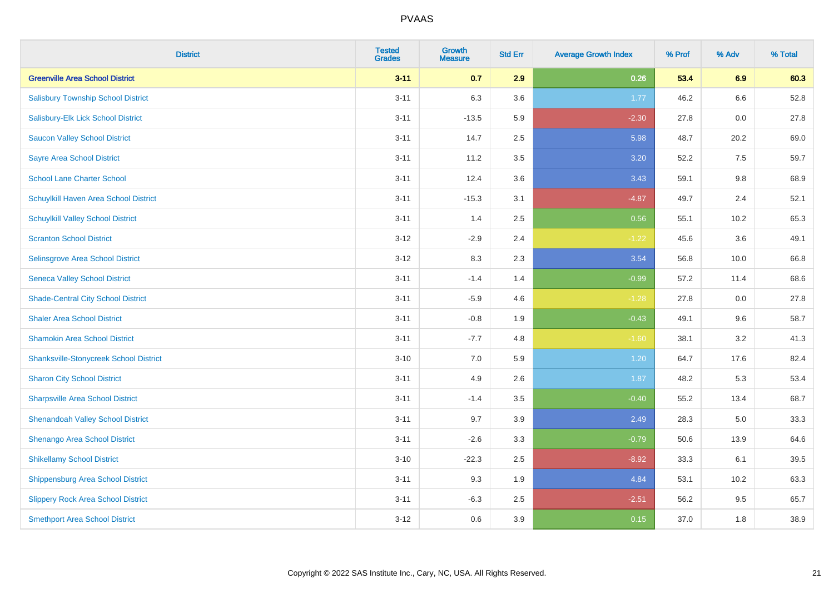| <b>District</b>                               | <b>Tested</b><br><b>Grades</b> | <b>Growth</b><br><b>Measure</b> | <b>Std Err</b> | <b>Average Growth Index</b> | % Prof | % Adv | % Total |
|-----------------------------------------------|--------------------------------|---------------------------------|----------------|-----------------------------|--------|-------|---------|
| <b>Greenville Area School District</b>        | $3 - 11$                       | 0.7                             | 2.9            | 0.26                        | 53.4   | 6.9   | 60.3    |
| <b>Salisbury Township School District</b>     | $3 - 11$                       | 6.3                             | 3.6            | 1.77                        | 46.2   | 6.6   | 52.8    |
| Salisbury-Elk Lick School District            | $3 - 11$                       | $-13.5$                         | 5.9            | $-2.30$                     | 27.8   | 0.0   | 27.8    |
| <b>Saucon Valley School District</b>          | $3 - 11$                       | 14.7                            | 2.5            | 5.98                        | 48.7   | 20.2  | 69.0    |
| <b>Sayre Area School District</b>             | $3 - 11$                       | 11.2                            | 3.5            | 3.20                        | 52.2   | 7.5   | 59.7    |
| <b>School Lane Charter School</b>             | $3 - 11$                       | 12.4                            | 3.6            | 3.43                        | 59.1   | 9.8   | 68.9    |
| Schuylkill Haven Area School District         | $3 - 11$                       | $-15.3$                         | 3.1            | $-4.87$                     | 49.7   | 2.4   | 52.1    |
| <b>Schuylkill Valley School District</b>      | $3 - 11$                       | 1.4                             | 2.5            | 0.56                        | 55.1   | 10.2  | 65.3    |
| <b>Scranton School District</b>               | $3 - 12$                       | $-2.9$                          | 2.4            | $-1.22$                     | 45.6   | 3.6   | 49.1    |
| Selinsgrove Area School District              | $3 - 12$                       | 8.3                             | 2.3            | 3.54                        | 56.8   | 10.0  | 66.8    |
| <b>Seneca Valley School District</b>          | $3 - 11$                       | $-1.4$                          | 1.4            | $-0.99$                     | 57.2   | 11.4  | 68.6    |
| <b>Shade-Central City School District</b>     | $3 - 11$                       | $-5.9$                          | 4.6            | $-1.28$                     | 27.8   | 0.0   | 27.8    |
| <b>Shaler Area School District</b>            | $3 - 11$                       | $-0.8$                          | 1.9            | $-0.43$                     | 49.1   | 9.6   | 58.7    |
| <b>Shamokin Area School District</b>          | $3 - 11$                       | $-7.7$                          | 4.8            | $-1.60$                     | 38.1   | 3.2   | 41.3    |
| <b>Shanksville-Stonycreek School District</b> | $3 - 10$                       | $7.0\,$                         | 5.9            | 1.20                        | 64.7   | 17.6  | 82.4    |
| <b>Sharon City School District</b>            | $3 - 11$                       | 4.9                             | 2.6            | 1.87                        | 48.2   | 5.3   | 53.4    |
| <b>Sharpsville Area School District</b>       | $3 - 11$                       | $-1.4$                          | 3.5            | $-0.40$                     | 55.2   | 13.4  | 68.7    |
| <b>Shenandoah Valley School District</b>      | $3 - 11$                       | 9.7                             | 3.9            | 2.49                        | 28.3   | 5.0   | 33.3    |
| Shenango Area School District                 | $3 - 11$                       | $-2.6$                          | 3.3            | $-0.79$                     | 50.6   | 13.9  | 64.6    |
| <b>Shikellamy School District</b>             | $3 - 10$                       | $-22.3$                         | 2.5            | $-8.92$                     | 33.3   | 6.1   | 39.5    |
| <b>Shippensburg Area School District</b>      | $3 - 11$                       | 9.3                             | 1.9            | 4.84                        | 53.1   | 10.2  | 63.3    |
| <b>Slippery Rock Area School District</b>     | $3 - 11$                       | $-6.3$                          | 2.5            | $-2.51$                     | 56.2   | 9.5   | 65.7    |
| <b>Smethport Area School District</b>         | $3-12$                         | 0.6                             | 3.9            | 0.15                        | 37.0   | 1.8   | 38.9    |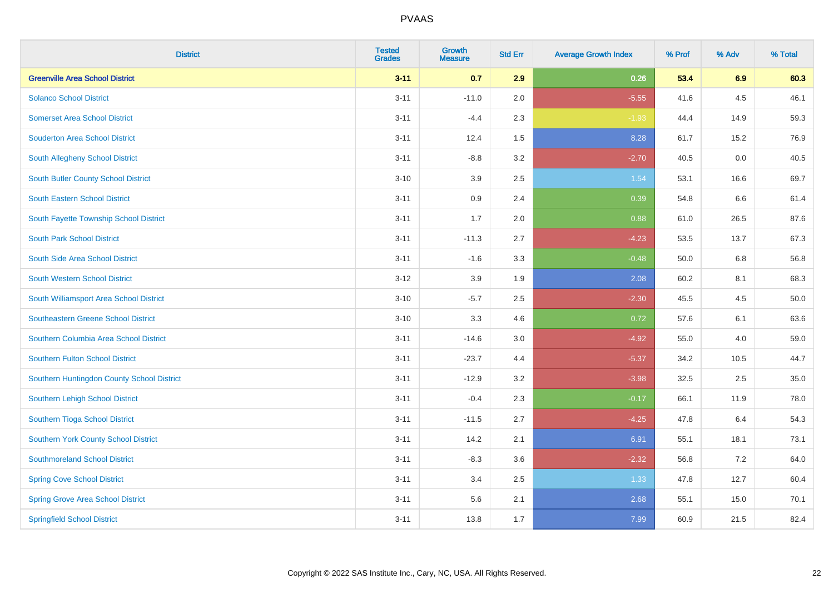| <b>District</b>                            | <b>Tested</b><br><b>Grades</b> | <b>Growth</b><br><b>Measure</b> | <b>Std Err</b> | <b>Average Growth Index</b> | % Prof | % Adv | % Total |
|--------------------------------------------|--------------------------------|---------------------------------|----------------|-----------------------------|--------|-------|---------|
| <b>Greenville Area School District</b>     | $3 - 11$                       | 0.7                             | 2.9            | 0.26                        | 53.4   | 6.9   | 60.3    |
| <b>Solanco School District</b>             | $3 - 11$                       | $-11.0$                         | 2.0            | $-5.55$                     | 41.6   | 4.5   | 46.1    |
| <b>Somerset Area School District</b>       | $3 - 11$                       | $-4.4$                          | 2.3            | $-1.93$                     | 44.4   | 14.9  | 59.3    |
| <b>Souderton Area School District</b>      | $3 - 11$                       | 12.4                            | 1.5            | 8.28                        | 61.7   | 15.2  | 76.9    |
| South Allegheny School District            | $3 - 11$                       | $-8.8$                          | 3.2            | $-2.70$                     | 40.5   | 0.0   | 40.5    |
| South Butler County School District        | $3 - 10$                       | 3.9                             | 2.5            | 1.54                        | 53.1   | 16.6  | 69.7    |
| South Eastern School District              | $3 - 11$                       | 0.9                             | 2.4            | 0.39                        | 54.8   | 6.6   | 61.4    |
| South Fayette Township School District     | $3 - 11$                       | 1.7                             | 2.0            | 0.88                        | 61.0   | 26.5  | 87.6    |
| <b>South Park School District</b>          | $3 - 11$                       | $-11.3$                         | 2.7            | $-4.23$                     | 53.5   | 13.7  | 67.3    |
| South Side Area School District            | $3 - 11$                       | $-1.6$                          | 3.3            | $-0.48$                     | 50.0   | 6.8   | 56.8    |
| South Western School District              | $3 - 12$                       | 3.9                             | 1.9            | 2.08                        | 60.2   | 8.1   | 68.3    |
| South Williamsport Area School District    | $3 - 10$                       | $-5.7$                          | 2.5            | $-2.30$                     | 45.5   | 4.5   | 50.0    |
| <b>Southeastern Greene School District</b> | $3 - 10$                       | 3.3                             | 4.6            | 0.72                        | 57.6   | 6.1   | 63.6    |
| Southern Columbia Area School District     | $3 - 11$                       | $-14.6$                         | $3.0\,$        | $-4.92$                     | 55.0   | 4.0   | 59.0    |
| <b>Southern Fulton School District</b>     | $3 - 11$                       | $-23.7$                         | 4.4            | $-5.37$                     | 34.2   | 10.5  | 44.7    |
| Southern Huntingdon County School District | $3 - 11$                       | $-12.9$                         | 3.2            | $-3.98$                     | 32.5   | 2.5   | 35.0    |
| Southern Lehigh School District            | $3 - 11$                       | $-0.4$                          | 2.3            | $-0.17$                     | 66.1   | 11.9  | 78.0    |
| Southern Tioga School District             | $3 - 11$                       | $-11.5$                         | 2.7            | $-4.25$                     | 47.8   | 6.4   | 54.3    |
| Southern York County School District       | $3 - 11$                       | 14.2                            | 2.1            | 6.91                        | 55.1   | 18.1  | 73.1    |
| <b>Southmoreland School District</b>       | $3 - 11$                       | $-8.3$                          | 3.6            | $-2.32$                     | 56.8   | 7.2   | 64.0    |
| <b>Spring Cove School District</b>         | $3 - 11$                       | 3.4                             | 2.5            | 1.33                        | 47.8   | 12.7  | 60.4    |
| <b>Spring Grove Area School District</b>   | $3 - 11$                       | 5.6                             | 2.1            | 2.68                        | 55.1   | 15.0  | 70.1    |
| <b>Springfield School District</b>         | $3 - 11$                       | 13.8                            | 1.7            | 7.99                        | 60.9   | 21.5  | 82.4    |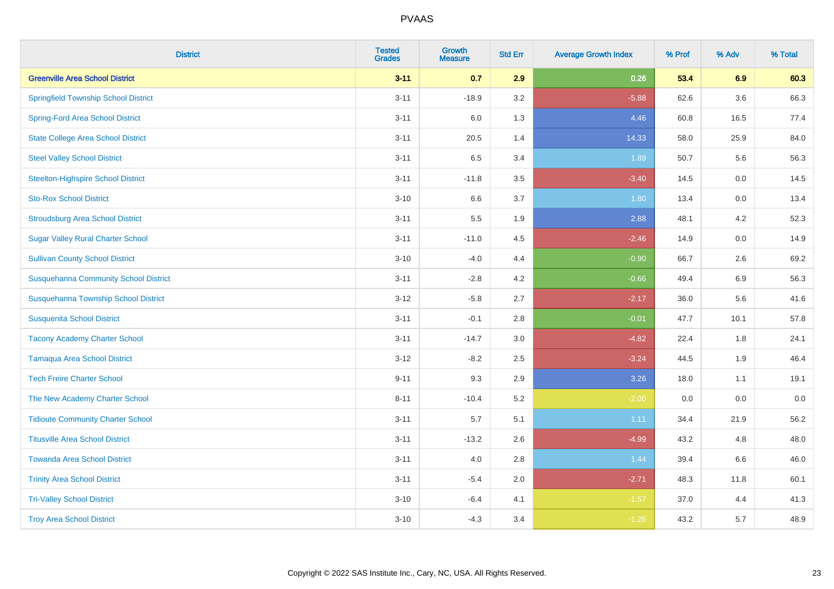| <b>District</b>                              | <b>Tested</b><br><b>Grades</b> | <b>Growth</b><br><b>Measure</b> | <b>Std Err</b> | <b>Average Growth Index</b> | % Prof | % Adv | % Total |
|----------------------------------------------|--------------------------------|---------------------------------|----------------|-----------------------------|--------|-------|---------|
| <b>Greenville Area School District</b>       | $3 - 11$                       | 0.7                             | 2.9            | 0.26                        | 53.4   | 6.9   | 60.3    |
| <b>Springfield Township School District</b>  | $3 - 11$                       | $-18.9$                         | 3.2            | $-5.88$                     | 62.6   | 3.6   | 66.3    |
| <b>Spring-Ford Area School District</b>      | $3 - 11$                       | 6.0                             | 1.3            | 4.46                        | 60.8   | 16.5  | 77.4    |
| <b>State College Area School District</b>    | $3 - 11$                       | 20.5                            | 1.4            | 14.33                       | 58.0   | 25.9  | 84.0    |
| <b>Steel Valley School District</b>          | $3 - 11$                       | 6.5                             | 3.4            | 1.89                        | 50.7   | 5.6   | 56.3    |
| <b>Steelton-Highspire School District</b>    | $3 - 11$                       | $-11.8$                         | 3.5            | $-3.40$                     | 14.5   | 0.0   | 14.5    |
| <b>Sto-Rox School District</b>               | $3 - 10$                       | 6.6                             | 3.7            | 1.80                        | 13.4   | 0.0   | 13.4    |
| <b>Stroudsburg Area School District</b>      | $3 - 11$                       | 5.5                             | 1.9            | 2.88                        | 48.1   | 4.2   | 52.3    |
| <b>Sugar Valley Rural Charter School</b>     | $3 - 11$                       | $-11.0$                         | 4.5            | $-2.46$                     | 14.9   | 0.0   | 14.9    |
| <b>Sullivan County School District</b>       | $3 - 10$                       | $-4.0$                          | 4.4            | $-0.90$                     | 66.7   | 2.6   | 69.2    |
| <b>Susquehanna Community School District</b> | $3 - 11$                       | $-2.8$                          | 4.2            | $-0.66$                     | 49.4   | 6.9   | 56.3    |
| Susquehanna Township School District         | $3 - 12$                       | $-5.8$                          | 2.7            | $-2.17$                     | 36.0   | 5.6   | 41.6    |
| <b>Susquenita School District</b>            | $3 - 11$                       | $-0.1$                          | 2.8            | $-0.01$                     | 47.7   | 10.1  | 57.8    |
| <b>Tacony Academy Charter School</b>         | $3 - 11$                       | $-14.7$                         | 3.0            | $-4.82$                     | 22.4   | 1.8   | 24.1    |
| <b>Tamaqua Area School District</b>          | $3 - 12$                       | $-8.2$                          | 2.5            | $-3.24$                     | 44.5   | 1.9   | 46.4    |
| <b>Tech Freire Charter School</b>            | $9 - 11$                       | 9.3                             | 2.9            | 3.26                        | 18.0   | 1.1   | 19.1    |
| The New Academy Charter School               | $8 - 11$                       | $-10.4$                         | 5.2            | $-2.00$                     | 0.0    | 0.0   | 0.0     |
| <b>Tidioute Community Charter School</b>     | $3 - 11$                       | 5.7                             | 5.1            | 1.11                        | 34.4   | 21.9  | 56.2    |
| <b>Titusville Area School District</b>       | $3 - 11$                       | $-13.2$                         | 2.6            | $-4.99$                     | 43.2   | 4.8   | 48.0    |
| <b>Towanda Area School District</b>          | $3 - 11$                       | 4.0                             | 2.8            | 1.44                        | 39.4   | 6.6   | 46.0    |
| <b>Trinity Area School District</b>          | $3 - 11$                       | $-5.4$                          | 2.0            | $-2.71$                     | 48.3   | 11.8  | 60.1    |
| <b>Tri-Valley School District</b>            | $3 - 10$                       | $-6.4$                          | 4.1            | $-1.57$                     | 37.0   | 4.4   | 41.3    |
| <b>Troy Area School District</b>             | $3 - 10$                       | $-4.3$                          | 3.4            | $-1.26$                     | 43.2   | 5.7   | 48.9    |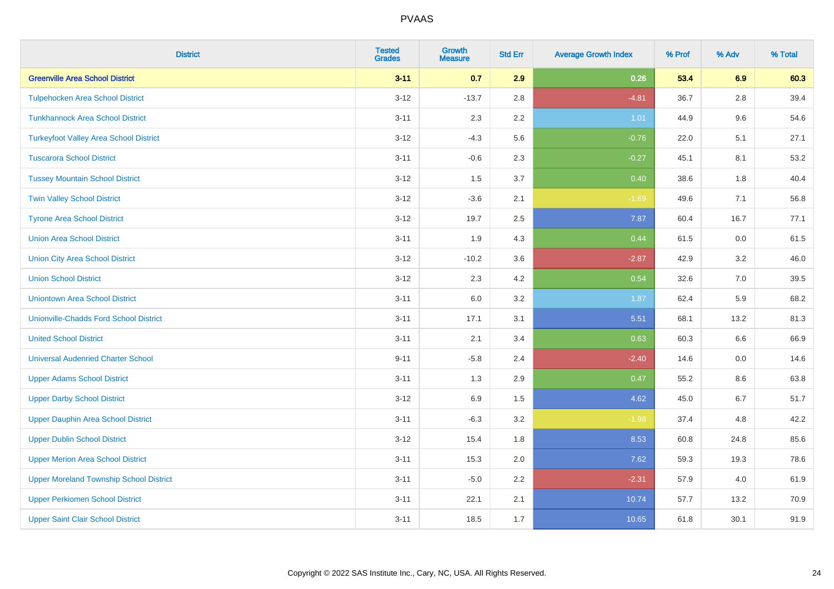| <b>District</b>                                | <b>Tested</b><br><b>Grades</b> | <b>Growth</b><br><b>Measure</b> | <b>Std Err</b> | <b>Average Growth Index</b> | % Prof | % Adv   | % Total |
|------------------------------------------------|--------------------------------|---------------------------------|----------------|-----------------------------|--------|---------|---------|
| <b>Greenville Area School District</b>         | $3 - 11$                       | 0.7                             | 2.9            | 0.26                        | 53.4   | 6.9     | 60.3    |
| <b>Tulpehocken Area School District</b>        | $3 - 12$                       | $-13.7$                         | 2.8            | $-4.81$                     | 36.7   | $2.8\,$ | 39.4    |
| <b>Tunkhannock Area School District</b>        | $3 - 11$                       | 2.3                             | 2.2            | 1.01                        | 44.9   | 9.6     | 54.6    |
| <b>Turkeyfoot Valley Area School District</b>  | $3 - 12$                       | $-4.3$                          | 5.6            | $-0.76$                     | 22.0   | 5.1     | 27.1    |
| <b>Tuscarora School District</b>               | $3 - 11$                       | $-0.6$                          | 2.3            | $-0.27$                     | 45.1   | 8.1     | 53.2    |
| <b>Tussey Mountain School District</b>         | $3 - 12$                       | 1.5                             | 3.7            | 0.40                        | 38.6   | 1.8     | 40.4    |
| <b>Twin Valley School District</b>             | $3 - 12$                       | $-3.6$                          | 2.1            | $-1.69$                     | 49.6   | 7.1     | 56.8    |
| <b>Tyrone Area School District</b>             | $3 - 12$                       | 19.7                            | 2.5            | 7.87                        | 60.4   | 16.7    | 77.1    |
| <b>Union Area School District</b>              | $3 - 11$                       | 1.9                             | 4.3            | 0.44                        | 61.5   | 0.0     | 61.5    |
| <b>Union City Area School District</b>         | $3 - 12$                       | $-10.2$                         | 3.6            | $-2.87$                     | 42.9   | 3.2     | 46.0    |
| <b>Union School District</b>                   | $3 - 12$                       | 2.3                             | 4.2            | 0.54                        | 32.6   | 7.0     | 39.5    |
| <b>Uniontown Area School District</b>          | $3 - 11$                       | 6.0                             | 3.2            | 1.87                        | 62.4   | 5.9     | 68.2    |
| <b>Unionville-Chadds Ford School District</b>  | $3 - 11$                       | 17.1                            | 3.1            | 5.51                        | 68.1   | 13.2    | 81.3    |
| <b>United School District</b>                  | $3 - 11$                       | 2.1                             | 3.4            | 0.63                        | 60.3   | 6.6     | 66.9    |
| <b>Universal Audenried Charter School</b>      | $9 - 11$                       | $-5.8$                          | 2.4            | $-2.40$                     | 14.6   | 0.0     | 14.6    |
| <b>Upper Adams School District</b>             | $3 - 11$                       | 1.3                             | 2.9            | 0.47                        | 55.2   | $8.6\,$ | 63.8    |
| <b>Upper Darby School District</b>             | $3 - 12$                       | 6.9                             | 1.5            | 4.62                        | 45.0   | 6.7     | 51.7    |
| <b>Upper Dauphin Area School District</b>      | $3 - 11$                       | $-6.3$                          | 3.2            | $-1.98$                     | 37.4   | 4.8     | 42.2    |
| <b>Upper Dublin School District</b>            | $3-12$                         | 15.4                            | 1.8            | 8.53                        | 60.8   | 24.8    | 85.6    |
| <b>Upper Merion Area School District</b>       | $3 - 11$                       | 15.3                            | 2.0            | 7.62                        | 59.3   | 19.3    | 78.6    |
| <b>Upper Moreland Township School District</b> | $3 - 11$                       | $-5.0$                          | 2.2            | $-2.31$                     | 57.9   | 4.0     | 61.9    |
| <b>Upper Perkiomen School District</b>         | $3 - 11$                       | 22.1                            | 2.1            | 10.74                       | 57.7   | 13.2    | 70.9    |
| <b>Upper Saint Clair School District</b>       | $3 - 11$                       | 18.5                            | 1.7            | 10.65                       | 61.8   | 30.1    | 91.9    |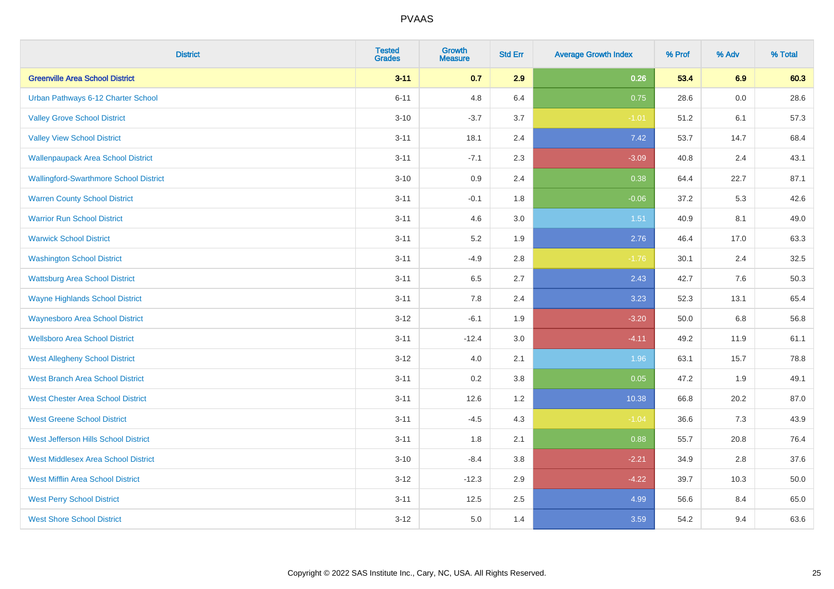| <b>District</b>                               | <b>Tested</b><br><b>Grades</b> | <b>Growth</b><br><b>Measure</b> | <b>Std Err</b> | <b>Average Growth Index</b> | % Prof | % Adv   | % Total |
|-----------------------------------------------|--------------------------------|---------------------------------|----------------|-----------------------------|--------|---------|---------|
| <b>Greenville Area School District</b>        | $3 - 11$                       | 0.7                             | 2.9            | 0.26                        | 53.4   | 6.9     | 60.3    |
| Urban Pathways 6-12 Charter School            | $6 - 11$                       | 4.8                             | 6.4            | 0.75                        | 28.6   | $0.0\,$ | 28.6    |
| <b>Valley Grove School District</b>           | $3 - 10$                       | $-3.7$                          | 3.7            | $-1.01$                     | 51.2   | 6.1     | 57.3    |
| <b>Valley View School District</b>            | $3 - 11$                       | 18.1                            | 2.4            | 7.42                        | 53.7   | 14.7    | 68.4    |
| <b>Wallenpaupack Area School District</b>     | $3 - 11$                       | $-7.1$                          | 2.3            | $-3.09$                     | 40.8   | 2.4     | 43.1    |
| <b>Wallingford-Swarthmore School District</b> | $3 - 10$                       | 0.9                             | 2.4            | 0.38                        | 64.4   | 22.7    | 87.1    |
| <b>Warren County School District</b>          | $3 - 11$                       | $-0.1$                          | 1.8            | $-0.06$                     | 37.2   | 5.3     | 42.6    |
| <b>Warrior Run School District</b>            | $3 - 11$                       | 4.6                             | 3.0            | 1.51                        | 40.9   | 8.1     | 49.0    |
| <b>Warwick School District</b>                | $3 - 11$                       | 5.2                             | 1.9            | 2.76                        | 46.4   | 17.0    | 63.3    |
| <b>Washington School District</b>             | $3 - 11$                       | $-4.9$                          | 2.8            | $-1.76$                     | 30.1   | 2.4     | 32.5    |
| <b>Wattsburg Area School District</b>         | $3 - 11$                       | 6.5                             | 2.7            | 2.43                        | 42.7   | 7.6     | 50.3    |
| <b>Wayne Highlands School District</b>        | $3 - 11$                       | 7.8                             | 2.4            | 3.23                        | 52.3   | 13.1    | 65.4    |
| <b>Waynesboro Area School District</b>        | $3-12$                         | $-6.1$                          | 1.9            | $-3.20$                     | 50.0   | $6.8\,$ | 56.8    |
| <b>Wellsboro Area School District</b>         | $3 - 11$                       | $-12.4$                         | 3.0            | $-4.11$                     | 49.2   | 11.9    | 61.1    |
| <b>West Allegheny School District</b>         | $3 - 12$                       | $4.0\,$                         | 2.1            | 1.96                        | 63.1   | 15.7    | 78.8    |
| <b>West Branch Area School District</b>       | $3 - 11$                       | 0.2                             | 3.8            | 0.05                        | 47.2   | 1.9     | 49.1    |
| <b>West Chester Area School District</b>      | $3 - 11$                       | 12.6                            | 1.2            | 10.38                       | 66.8   | 20.2    | 87.0    |
| <b>West Greene School District</b>            | $3 - 11$                       | $-4.5$                          | 4.3            | $-1.04$                     | 36.6   | 7.3     | 43.9    |
| West Jefferson Hills School District          | $3 - 11$                       | 1.8                             | 2.1            | 0.88                        | 55.7   | 20.8    | 76.4    |
| <b>West Middlesex Area School District</b>    | $3 - 10$                       | $-8.4$                          | 3.8            | $-2.21$                     | 34.9   | 2.8     | 37.6    |
| <b>West Mifflin Area School District</b>      | $3 - 12$                       | $-12.3$                         | 2.9            | $-4.22$                     | 39.7   | 10.3    | 50.0    |
| <b>West Perry School District</b>             | $3 - 11$                       | 12.5                            | 2.5            | 4.99                        | 56.6   | 8.4     | 65.0    |
| <b>West Shore School District</b>             | $3 - 12$                       | 5.0                             | 1.4            | 3.59                        | 54.2   | 9.4     | 63.6    |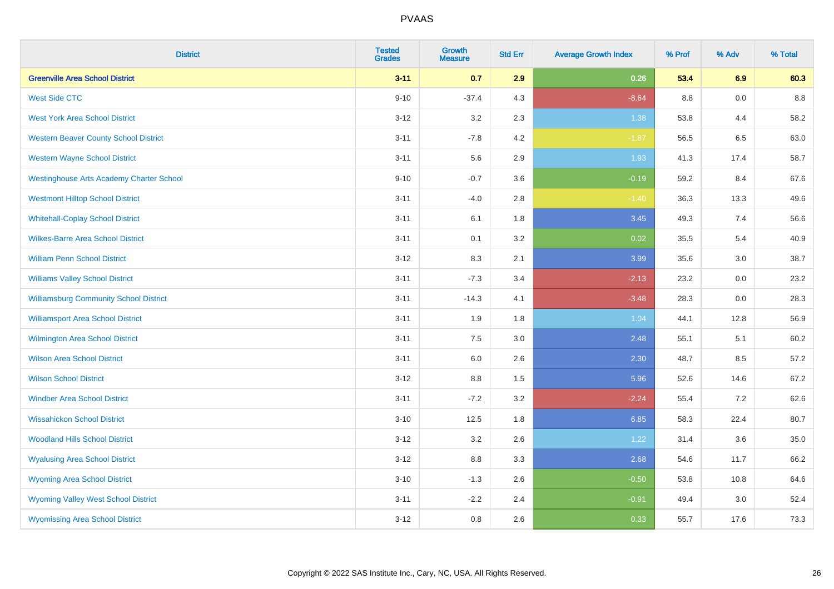| <b>District</b>                                 | <b>Tested</b><br><b>Grades</b> | <b>Growth</b><br><b>Measure</b> | <b>Std Err</b> | <b>Average Growth Index</b> | % Prof | % Adv | % Total |
|-------------------------------------------------|--------------------------------|---------------------------------|----------------|-----------------------------|--------|-------|---------|
| <b>Greenville Area School District</b>          | $3 - 11$                       | 0.7                             | 2.9            | 0.26                        | 53.4   | 6.9   | 60.3    |
| <b>West Side CTC</b>                            | $9 - 10$                       | $-37.4$                         | 4.3            | $-8.64$                     | 8.8    | 0.0   | 8.8     |
| <b>West York Area School District</b>           | $3 - 12$                       | 3.2                             | 2.3            | 1.38                        | 53.8   | 4.4   | 58.2    |
| <b>Western Beaver County School District</b>    | $3 - 11$                       | $-7.8$                          | 4.2            | $-1.87$                     | 56.5   | 6.5   | 63.0    |
| <b>Western Wayne School District</b>            | $3 - 11$                       | 5.6                             | 2.9            | 1.93                        | 41.3   | 17.4  | 58.7    |
| <b>Westinghouse Arts Academy Charter School</b> | $9 - 10$                       | $-0.7$                          | 3.6            | $-0.19$                     | 59.2   | 8.4   | 67.6    |
| <b>Westmont Hilltop School District</b>         | $3 - 11$                       | $-4.0$                          | 2.8            | $-1.40$                     | 36.3   | 13.3  | 49.6    |
| <b>Whitehall-Coplay School District</b>         | $3 - 11$                       | 6.1                             | 1.8            | 3.45                        | 49.3   | 7.4   | 56.6    |
| <b>Wilkes-Barre Area School District</b>        | $3 - 11$                       | 0.1                             | 3.2            | 0.02                        | 35.5   | 5.4   | 40.9    |
| <b>William Penn School District</b>             | $3 - 12$                       | 8.3                             | 2.1            | 3.99                        | 35.6   | 3.0   | 38.7    |
| <b>Williams Valley School District</b>          | $3 - 11$                       | $-7.3$                          | 3.4            | $-2.13$                     | 23.2   | 0.0   | 23.2    |
| <b>Williamsburg Community School District</b>   | $3 - 11$                       | $-14.3$                         | 4.1            | $-3.48$                     | 28.3   | 0.0   | 28.3    |
| <b>Williamsport Area School District</b>        | $3 - 11$                       | 1.9                             | 1.8            | 1.04                        | 44.1   | 12.8  | 56.9    |
| Wilmington Area School District                 | $3 - 11$                       | 7.5                             | 3.0            | 2.48                        | 55.1   | 5.1   | 60.2    |
| <b>Wilson Area School District</b>              | $3 - 11$                       | 6.0                             | 2.6            | 2.30                        | 48.7   | 8.5   | 57.2    |
| <b>Wilson School District</b>                   | $3 - 12$                       | $8.8\,$                         | 1.5            | 5.96                        | 52.6   | 14.6  | 67.2    |
| <b>Windber Area School District</b>             | $3 - 11$                       | $-7.2$                          | 3.2            | $-2.24$                     | 55.4   | 7.2   | 62.6    |
| <b>Wissahickon School District</b>              | $3 - 10$                       | 12.5                            | 1.8            | 6.85                        | 58.3   | 22.4  | 80.7    |
| <b>Woodland Hills School District</b>           | $3 - 12$                       | 3.2                             | 2.6            | 1.22                        | 31.4   | 3.6   | 35.0    |
| <b>Wyalusing Area School District</b>           | $3 - 12$                       | 8.8                             | 3.3            | 2.68                        | 54.6   | 11.7  | 66.2    |
| <b>Wyoming Area School District</b>             | $3 - 10$                       | $-1.3$                          | 2.6            | $-0.50$                     | 53.8   | 10.8  | 64.6    |
| <b>Wyoming Valley West School District</b>      | $3 - 11$                       | $-2.2$                          | 2.4            | $-0.91$                     | 49.4   | 3.0   | 52.4    |
| <b>Wyomissing Area School District</b>          | $3 - 12$                       | 0.8                             | 2.6            | 0.33                        | 55.7   | 17.6  | 73.3    |